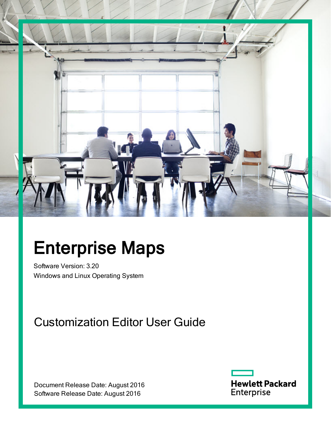

# Enterprise Maps

Software Version: 3.20 Windows and Linux Operating System

### Customization Editor User Guide

Document Release Date: August 2016 Software Release Date: August 2016

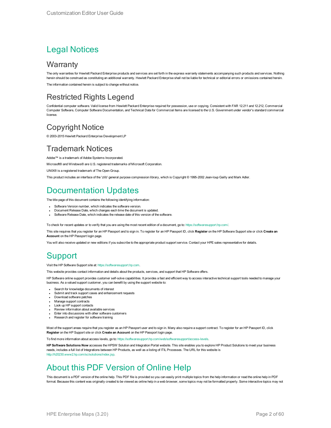### Legal Notices

### **Warranty**

The only warranties for Hewlett Packard Enterprise products and services are set forth in the express warranty statements accompanying such products and services. Nothing herein should be construed as constituting an additional warranty. Hewlett Packard Enterprise shall not be liable for technical or editorial errors or omissions contained herein. The information contained herein is subject to change without notice.

### Restricted Rights Legend

Confidential computer software. Valid license from Hewlett Packard Enterprise required for possession, use or copying. Consistent with FAR 12.211 and 12.212, Commercial Computer Software, Computer Software Documentation, and Technical Data for Commercial Items are licensed to the U.S. Government under vendor's standard commercial license.

### Copyright Notice

© 2003-2015 Hewlett Packard Enterprise Development LP

### Trademark Notices

Adobe™ is a trademark of Adobe Systems Incorporated.

Microsoft® and Windows® are U.S. registered trademarks of Microsoft Corporation.

UNIX® is a registered trademark of The Open Group.

This product includes an interface of the 'zlib' general purpose compression library, which is Copyright © 1995-2002 Jean-loup Gailly and Mark Adler.

### Documentation Updates

The title page of this document contains the following identifying information:

- Software Version number, which indicates the software version.
- Document Release Date, which changes each time the document is updated.
- Software Release Date, which indicates the release date of this version of the software.

To check for recent updates or to verify that you are using the most recent edition of a document, go to: <https://softwaresupport.hp.com/>.

This site requires that you register for an HP Passport and to sign in. To register for an HP Passport ID, click **Register** on the HP Software Support site or click **Create an Account** on the HP Passport login page.

You will also receive updated or new editions if you subscribe to the appropriate product support service. Contact your HPE sales representative for details.

### **Support**

Visit the HP Software Support site at: [https://softwaresupport.hp.com](https://softwaresupport.hp.com/).

This website provides contact information and details about the products, services, and support that HP Software offers.

HP Software online support provides customer self-solve capabilities. It provides a fast and efficient way to access interactive technical support tools needed to manage your business. As a valued support customer, you can benefit by using the support website to:

- Search for knowledge documents of interest
- Submit and track support cases and enhancement requests
- Download software patches
- Manage support contracts
- Look up HP support contacts
- Review information about available services
- **Enter into discussions with other software customers**
- Research and register for software training

Most of the support areas require that you register as an HP Passport user and to sign in. Many also require a support contract. To register for an HP Passport ID, click **Register** on the HP Support site or click **Create an Account** on the HP Passport login page.

To find more information about access levels, go to: [https://softwaresupport.hp.com/web/softwaresupport/access-levels.](https://softwaresupport.hp.com/web/softwaresupport/access-levels)

**HP Software Solutions Now** accesses the HPSW Solution and Integration Portal website. This site enables you to explore HP Product Solutions to meet your business needs, includes a full list of Integrations between HP Products, as well as a listing of ITIL Processes. The URL for this website is [http://h20230.www2.hp.com/sc/solutions/index.jsp.](http://h20230.www2.hp.com/sc/solutions/index.jsp)

### About this PDF Version of Online Help

This document is a PDF version of the online help. This PDF file is provided so you can easily print multiple topics from the help information or read the online help in PDF format. Because this content was originally created to be viewed as online help in a web browser, some topics may not be formatted properly. Some interactive topics may not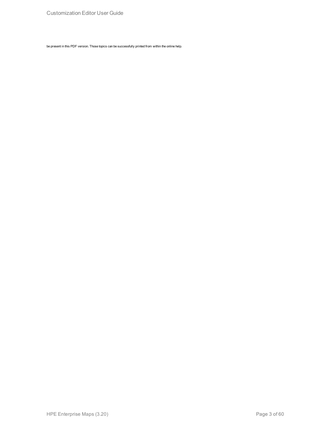be present in this PDF version. Those topics can be successfully printed from within the online help.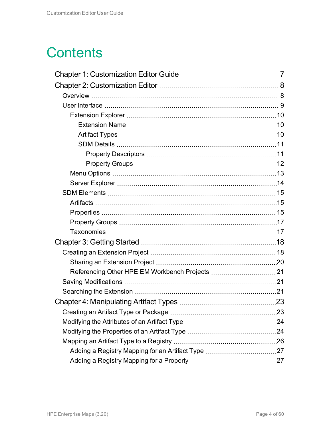## **Contents**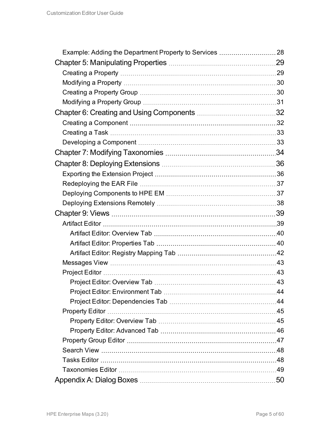| 43 |
|----|
|    |
|    |
|    |
|    |
|    |
|    |
|    |
|    |
|    |
| 50 |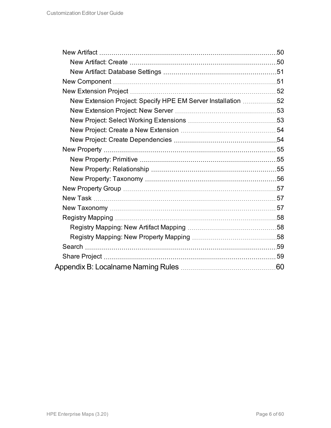| New Extension Project: Specify HPE EM Server Installation 52 |  |
|--------------------------------------------------------------|--|
|                                                              |  |
|                                                              |  |
|                                                              |  |
|                                                              |  |
|                                                              |  |
|                                                              |  |
|                                                              |  |
|                                                              |  |
|                                                              |  |
|                                                              |  |
|                                                              |  |
|                                                              |  |
|                                                              |  |
|                                                              |  |
|                                                              |  |
|                                                              |  |
|                                                              |  |
|                                                              |  |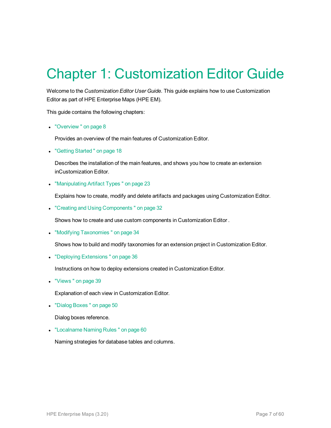## <span id="page-6-0"></span>Chapter 1: Customization Editor Guide

Welcome to the *Customization Editor User Guide*. This guide explains how to use Customization Editor as part of HPE Enterprise Maps (HPE EM).

This guide contains the following chapters:

• "Overview" on page 8

Provides an overview of the main features of Customization Editor.

• "Getting Started" on page 18

Describes the installation of the main features, and shows you how to create an extension inCustomization Editor.

• ["Manipulating](#page-22-0) Artifact Types" on page 23

Explains how to create, modify and delete artifacts and packages using Customization Editor.

• "Creating and Using Components" on page 32

Shows how to create and use custom components in Customization Editor .

• "Modifying Taxonomies" on page 34

Shows how to build and modify taxonomies for an extension project in Customization Editor.

• "Deploying Extensions" on page 36

Instructions on how to deploy extensions created in Customization Editor.

• "Views" on page 39

Explanation of each view in Customization Editor.

• "Dialog Boxes" on page 50

Dialog boxes reference.

• ["Localname](#page-59-0) Naming Rules" on page 60

Naming strategies for database tables and columns.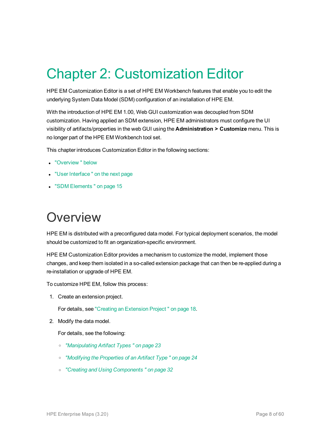## <span id="page-7-0"></span>Chapter 2: Customization Editor

HPE EM Customization Editor is a set of HPE EM Workbench features that enable you to edit the underlying System Data Model (SDM) configuration of an installation of HPE EM.

With the introduction of HPE EM 1.00, Web GUI customization was decoupled from SDM customization. Having applied an SDM extension, HPE EM administrators must configure the UI visibility of artifacts/properties in the web GUI using the **Administration > Customize** menu. This is no longer part of the HPE EM Workbench tool set.

This chapter introduces Customization Editor in the following sections:

- ["Overview "](#page-7-1) below
- "User Interface" on the next page
- <span id="page-7-1"></span>• "SDM [Elements "](#page-14-0) on page 15

### **Overview**

HPE EM is distributed with a preconfigured data model. For typical deployment scenarios, the model should be customized to fit an organization-specific environment.

HPE EM Customization Editor provides a mechanism to customize the model, implement those changes, and keep them isolated in a so-called extension package that can then be re-applied during a re-installation or upgrade of HPE EM.

To customize HPE EM, follow this process:

1. Create an extension project.

For details, see "Creating an [Extension](#page-17-1) Project " on page 18.

2. Modify the data model.

For details, see the following:

- <sup>o</sup> *["Manipulating](#page-22-0) Artifact Types " on page 23*
- <sup>o</sup> *["Modifying](#page-23-1) the Properties of an Artifact Type " on page 24*
- <sup>o</sup> *"Creating and Using [Components "](#page-31-0) on page 32*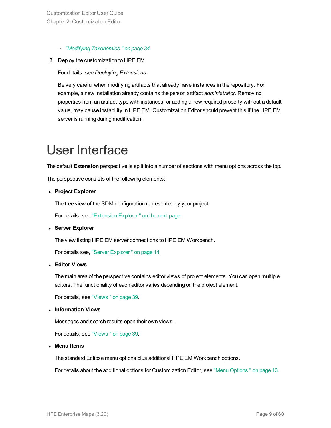- <sup>o</sup> *"Modifying [Taxonomies "](#page-33-0) on page 34*
- 3. Deploy the customization to HPE EM.

For details, see *Deploying Extensions*.

Be very careful when modifying artifacts that already have instances in the repository. For example, a new installation already contains the person artifact *administrator*. Removing properties from an artifact type with instances, or adding a new required property without a default value, may cause instability in HPE EM. Customization Editor should prevent this if the HPE EM server is running during modification.

## <span id="page-8-0"></span>User Interface

The default **Extension** perspective is split into a number of sections with menu options across the top.

The perspective consists of the following elements:

<sup>l</sup> **Project Explorer**

The tree view of the SDM configuration represented by your project.

For details, see ["Extension](#page-9-0) Explorer " on the next page.

<sup>l</sup> **Server Explorer**

The view listing HPE EM server connections to HPE EM Workbench.

For details see, "Server [Explorer "](#page-13-0) on page 14.

<sup>l</sup> **Editor Views**

The main area of the perspective contains editor views of project elements. You can open multiple editors. The functionality of each editor varies depending on the project element.

For details, see ["Views "](#page-38-0) on page 39.

<sup>l</sup> **Information Views**

Messages and search results open their own views.

For details, see ["Views "](#page-38-0) on page 39.

<sup>l</sup> **Menu Items**

The standard Eclipse menu options plus additional HPE EM Workbench options.

For details about the additional options for Customization Editor, see "Menu [Options "](#page-12-0) on page 13.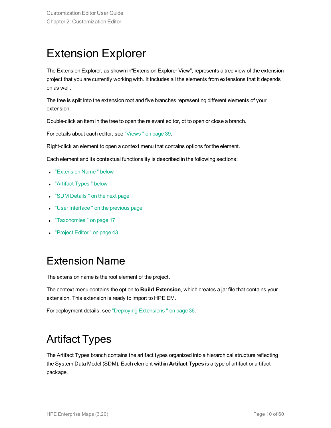### <span id="page-9-0"></span>Extension Explorer

The Extension Explorer, as shown in"Extension Explorer View", represents a tree view of the extension project that you are currently working with. It includes all the elements from extensions that it depends on as well.

The tree is split into the extension root and five branches representing different elements of your extension.

Double-click an item in the tree to open the relevant editor, ot to open or close a branch.

For details about each editor, see ["Views "](#page-38-0) on page 39.

Right-click an element to open a context menu that contains options for the element.

Each element and its contextual functionality is described in the following sections:

- ["Extension](#page-9-1) Name" below
- ["Artifact](#page-9-2) Types" below
- "SDM Details" on the next page
- "User Interface" on the previous page
- ["Taxonomies "](#page-16-1) on page 17
- <span id="page-9-1"></span>• ["Project](#page-42-1) Editor" on page 43

### Extension Name

The extension name is the root element of the project.

The context menu contains the option to **Build Extension**, which creates a jar file that contains your extension. This extension is ready to import to HPE EM.

<span id="page-9-2"></span>For deployment details, see "Deploying [Extensions "](#page-35-0) on page 36.

### Artifact Types

The Artifact Types branch contains the artifact types organized into a hierarchical structure reflecting the System Data Model (SDM). Each element within **Artifact Types** is a type of artifact or artifact package.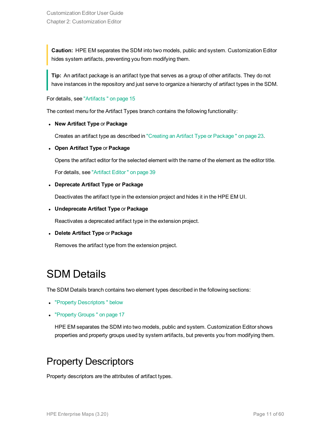**Caution:** HPE EM separates the SDM into two models, public and system. Customization Editor hides system artifacts, preventing you from modifying them.

**Tip:** An artifact package is an artifact type that serves as a group of other artifacts. They do not have instances in the repository and just serve to organize a hierarchy of artifact types in the SDM.

For details, see ["Artifacts "](#page-14-1) on page 15

The context menu for the Artifact Types branch contains the following functionality:

<sup>l</sup> **New Artifact Type** or **Package**

Creates an artifact type as described in "Creating an Artifact Type or [Package "](#page-22-1) on page 23.

<sup>l</sup> **Open Artifact Type** or **Package**

Opens the artifact editor for the selected element with the name of the element as the editor title.

For details, see ["Artifact](#page-38-1) Editor " on page 39

#### <sup>l</sup> **Deprecate Artifact Type or Package**

Deactivates the artifact type in the extension project and hides it in the HPE EM UI.

<sup>l</sup> **Undeprecate Artifact Type** or **Package**

Reactivates a deprecated artifact type in the extension project.

<sup>l</sup> **Delete Artifact Type** or **Package**

<span id="page-10-0"></span>Removes the artifact type from the extension project.

### SDM Details

The SDM Details branch contains two element types described in the following sections:

- "Property Descriptors" below
- ["Property](#page-16-0) Groups" on page 17

HPE EM separates the SDM into two models, public and system. Customization Editor shows properties and property groups used by system artifacts, but prevents you from modifying them.

### <span id="page-10-1"></span>Property Descriptors

Property descriptors are the attributes of artifact types.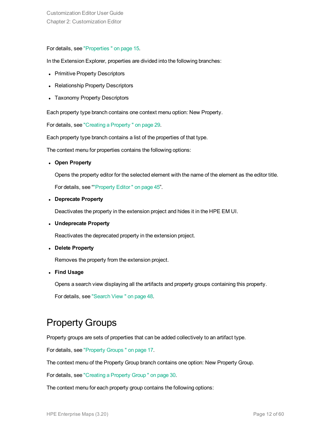#### For details, see ["Properties "](#page-14-2) on page 15.

In the Extension Explorer, properties are divided into the following branches:

- Primitive Property Descriptors
- Relationship Property Descriptors
- Taxonomy Property Descriptors

Each property type branch contains one context menu option: New Property.

For details, see "Creating a [Property "](#page-28-1) on page 29.

Each property type branch contains a list of the properties of that type.

The context menu for properties contains the following options:

<sup>l</sup> **Open Property**

Opens the property editor for the selected element with the name of the element as the editor title.

For details, see [""Property](#page-44-0) Editor " on page 45".

<sup>l</sup> **Deprecate Property**

Deactivates the property in the extension project and hides it in the HPE EM UI.

<sup>l</sup> **Undeprecate Property**

Reactivates the deprecated property in the extension project.

<sup>l</sup> **Delete Property**

Removes the property from the extension project.

<sup>l</sup> **Find Usage**

Opens a search view displaying all the artifacts and property groups containing this property.

<span id="page-11-0"></span>For details, see ["Search](#page-47-0) View " on page 48.

### Property Groups

Property groups are sets of properties that can be added collectively to an artifact type.

For details, see ["Property](#page-16-0) Groups " on page 17.

The context menu of the Property Group branch contains one option: New Property Group.

For details, see ["Creating](#page-29-1) a Property Group " on page 30.

The context menu for each property group contains the following options: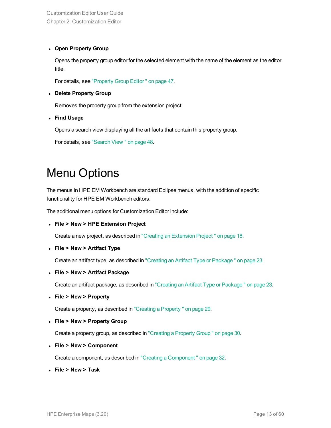#### <sup>l</sup> **Open Property Group**

Opens the property group editor for the selected element with the name of the element as the editor title.

For details, see ["Property](#page-46-0) Group Editor " on page 47.

#### <sup>l</sup> **Delete Property Group**

Removes the property group from the extension project.

<sup>l</sup> **Find Usage**

Opens a search view displaying all the artifacts that contain this property group.

<span id="page-12-0"></span>For details, see ["Search](#page-47-0) View " on page 48.

### Menu Options

The menus in HPE EM Workbench are standard Eclipse menus, with the addition of specific functionality for HPE EM Workbench editors.

The additional menu options for Customization Editor include:

<sup>l</sup> **File > New > HPE Extension Project**

Create a new project, as described in "Creating an [Extension](#page-17-1) Project " on page 18.

<sup>l</sup> **File > New > Artifact Type**

Create an artifact type, as described in "Creating an Artifact Type or [Package "](#page-22-1) on page 23.

<sup>l</sup> **File > New > Artifact Package**

Create an artifact package, as described in "Creating an Artifact Type or [Package "](#page-22-1) on page 23.

<sup>l</sup> **File > New > Property**

Create a property, as described in "Creating a [Property "](#page-28-1) on page 29.

<sup>l</sup> **File > New > Property Group**

Create a property group, as described in ["Creating](#page-29-1) a Property Group " on page 30.

<sup>l</sup> **File > New > Component**

Create a component, as described in "Creating a [Component "](#page-31-1) on page 32.

<sup>l</sup> **File > New > Task**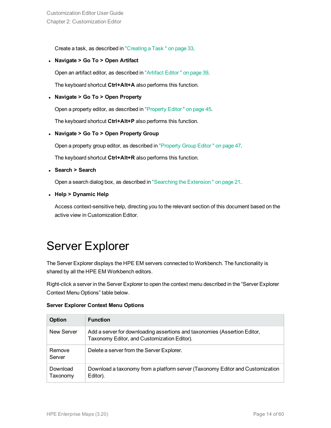Create a task, as described in ["Creating](#page-32-0) a Task " on page 33.

<sup>l</sup> **Navigate > Go To > Open Artifact**

Open an artifact editor, as described in ["Artifact](#page-38-1) Editor " on page 39.

The keyboard shortcut **Ctrl+Alt+A** also performs this function.

#### <sup>l</sup> **Navigate > Go To > Open Property**

Open a property editor, as described in ["Property](#page-44-0) Editor " on page 45.

The keyboard shortcut **Ctrl+Alt+P** also performs this function.

<sup>l</sup> **Navigate > Go To > Open Property Group**

Open a property group editor, as described in ["Property](#page-46-0) Group Editor " on page 47.

The keyboard shortcut **Ctrl+Alt+R** also performs this function.

<sup>l</sup> **Search > Search**

Open a search dialog box, as described in "Searching the [Extension "](#page-20-2) on page 21.

<sup>l</sup> **Help > Dynamic Help**

<span id="page-13-0"></span>Access context-sensitive help, directing you to the relevant section of this document based on the active view in Customization Editor.

### Server Explorer

The Server Explorer displays the HPE EM servers connected to Workbench. The functionality is shared by all the HPE EM Workbench editors.

Right-click a server in the Server Explorer to open the context menu described in the "Server Explorer Context Menu Options" table below.

|  | <b>Server Explorer Context Menu Options</b> |  |  |  |
|--|---------------------------------------------|--|--|--|
|--|---------------------------------------------|--|--|--|

| <b>Option</b>        | <b>Function</b>                                                                                                          |
|----------------------|--------------------------------------------------------------------------------------------------------------------------|
| New Server           | Add a server for downloading assertions and taxonomies (Assertion Editor,<br>Taxonomy Editor, and Customization Editor). |
| Remove<br>Server     | Delete a server from the Server Explorer.                                                                                |
| Download<br>Taxonomy | Download a taxonomy from a platform server (Taxonomy Editor and Customization<br>Editor).                                |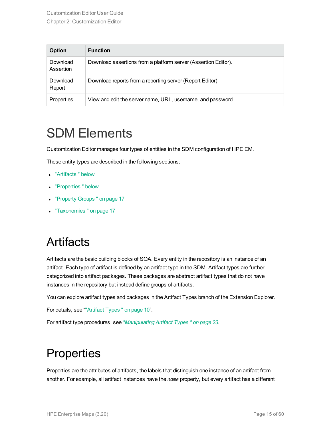| Option                | <b>Function</b>                                                |
|-----------------------|----------------------------------------------------------------|
| Download<br>Assertion | Download assertions from a platform server (Assertion Editor). |
| Download<br>Report    | Download reports from a reporting server (Report Editor).      |
| Properties            | View and edit the server name, URL, username, and password.    |

### <span id="page-14-0"></span>SDM Elements

Customization Editor manages four types of entities in the SDM configuration of HPE EM.

These entity types are described in the following sections:

- ["Artifacts "](#page-14-1) below
- ["Properties "](#page-14-2) below
- ["Property](#page-16-0) Groups" on page 17
- <span id="page-14-1"></span>- ["Taxonomies "](#page-16-1) on page 17

### **Artifacts**

Artifacts are the basic building blocks of SOA. Every entity in the repository is an instance of an artifact. Each type of artifact is defined by an artifact type in the SDM. Artifact types are further categorized into artifact packages. These packages are abstract artifact types that do not have instances in the repository but instead define groups of artifacts.

You can explore artifact types and packages in the Artifact Types branch of the Extension Explorer.

For details, see "["Artifact](#page-9-2) Types " on page 10".

<span id="page-14-2"></span>For artifact type procedures, see *["Manipulating](#page-22-0) Artifact Types " on page 23*.

### **Properties**

Properties are the attributes of artifacts, the labels that distinguish one instance of an artifact from another. For example, all artifact instances have the *name* property, but every artifact has a different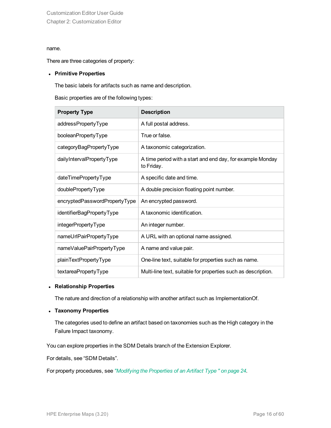#### name.

There are three categories of property:

#### <sup>l</sup> **Primitive Properties**

The basic labels for artifacts such as name and description.

Basic properties are of the following types:

| <b>Property Type</b>          | <b>Description</b>                                                       |
|-------------------------------|--------------------------------------------------------------------------|
| addressPropertyType           | A full postal address.                                                   |
| booleanPropertyType           | True or false.                                                           |
| categoryBagPropertyType       | A taxonomic categorization.                                              |
| dailyIntervalPropertyType     | A time period with a start and end day, for example Monday<br>to Friday. |
| dateTimePropertyType          | A specific date and time.                                                |
| doublePropertyType            | A double precision floating point number.                                |
| encryptedPasswordPropertyType | An encrypted password.                                                   |
| identifierBagPropertyType     | A taxonomic identification.                                              |
| integerPropertyType           | An integer number.                                                       |
| nameUrlPairPropertyType       | A URL with an optional name assigned.                                    |
| nameValuePairPropertyType     | A name and value pair.                                                   |
| plainTextPropertyType         | One-line text, suitable for properties such as name.                     |
| textareaPropertyType          | Multi-line text, suitable for properties such as description.            |

#### <sup>l</sup> **Relationship Properties**

The nature and direction of a relationship with another artifact such as ImplementationOf.

#### <sup>l</sup> **Taxonomy Properties**

The categories used to define an artifact based on taxonomies such as the High category in the Failure Impact taxonomy.

You can explore properties in the SDM Details branch of the Extension Explorer.

For details, see "SDM Details".

For property procedures, see *["Modifying](#page-23-1) the Properties of an Artifact Type " on page 24*.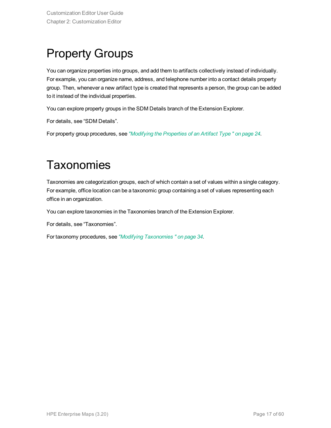## <span id="page-16-0"></span>Property Groups

You can organize properties into groups, and add them to artifacts collectively instead of individually. For example, you can organize name, address, and telephone number into a contact details property group. Then, whenever a new artifact type is created that represents a person, the group can be added to it instead of the individual properties.

You can explore property groups in the SDM Details branch of the Extension Explorer.

For details, see "SDM Details".

<span id="page-16-1"></span>For property group procedures, see *["Modifying](#page-23-1) the Properties of an Artifact Type " on page 24*.

### **Taxonomies**

Taxonomies are categorization groups, each of which contain a set of values within a single category. For example, office location can be a taxonomic group containing a set of values representing each office in an organization.

You can explore taxonomies in the Taxonomies branch of the Extension Explorer.

For details, see "Taxonomies".

For taxonomy procedures, see *"Modifying [Taxonomies "](#page-33-0) on page 34*.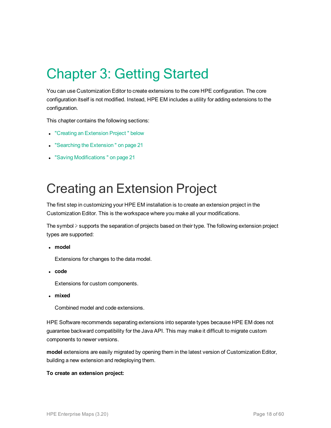# <span id="page-17-0"></span>Chapter 3: Getting Started

You can use Customization Editor to create extensions to the core HPE configuration. The core configuration itself is not modified. Instead, HPE EM includes a utility for adding extensions to the configuration.

This chapter contains the following sections:

- "Creating an [Extension](#page-17-1) Project" below
- "Searching the Extension" on page 21
- <span id="page-17-1"></span>• "Saving Modifications" on page 21

## Creating an Extension Project

The first step in customizing your HPE EM installation is to create an extension project in the Customization Editor. This is the workspace where you make all your modifications.

The symbol ≽ supports the separation of projects based on their type. The following extension project types are supported:

<sup>l</sup> **model**

Extensions for changes to the data model.

<sup>l</sup> **code**

Extensions for custom components.

<sup>l</sup> **mixed**

Combined model and code extensions.

HPE Software recommends separating extensions into separate types because HPE EM does not guarantee backward compatibility for the Java API. This may make it difficult to migrate custom components to newer versions.

**model** extensions are easily migrated by opening them in the latest version of Customization Editor, building a new extension and redeploying them.

#### **To create an extension project:**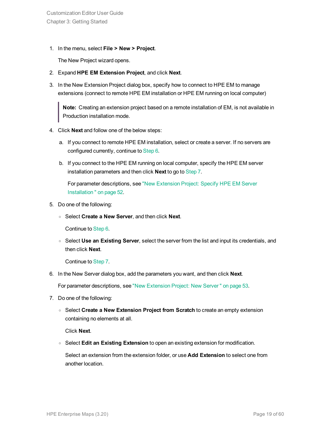Customization Editor User Guide Chapter 3: Getting Started

1. In the menu, select **File > New > Project**.

The New Project wizard opens.

- 2. Expand **HPE EM Extension Project**, and click **Next**.
- 3. In the New Extension Project dialog box, specify how to connect to HPE EM to manage extensions (connect to remote HPE EM installation or HPE EM running on local computer)

**Note:** Creating an extension project based on a remote installation of EM, is not available in Production installation mode.

- 4. Click **Next** and follow one of the below steps:
	- a. If you connect to remote HPE EM installation, select or create a server. If no servers are configured currently, continue to [Step](#page-18-0) 6.
	- b. If you connect to the HPE EM running on local computer, specify the HPE EM server installation parameters and then click **Next** to go to [Step](#page-18-1) 7.

For parameter descriptions, see "New [Extension](#page-51-1) Project: Specify HPE EM Server [Installation "](#page-51-1) on page 52.

- 5. Do one of the following:
	- <sup>o</sup> Select **Create a New Server**, and then click **Next**.

Continue to [Step](#page-18-0) 6.

<sup>o</sup> Select **Use an Existing Server**, select the server from the list and input its credentials, and then click **Next**.

<span id="page-18-0"></span>Continue to [Step](#page-18-1) 7.

6. In the New Server dialog box, add the parameters you want, and then click **Next**.

<span id="page-18-1"></span>For parameter descriptions, see "New [Extension](#page-52-0) Project: New Server " on page 53.

- 7. Do one of the following:
	- <sup>o</sup> Select **Create a New Extension Project from Scratch** to create an empty extension containing no elements at all.

Click **Next**.

<sup>o</sup> Select **Edit an Existing Extension** to open an existing extension for modification.

Select an extension from the extension folder, or use **Add Extension** to select one from another location.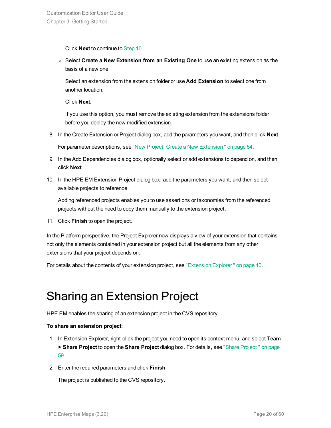Click **Next** to continue to [Step](#page-19-1) 10.

<sup>o</sup> Select **Create a New Extension from an Existing One** to use an existing extension as the basis of a new one.

Select an extension from the extension folder or use **Add Extension** to select one from another location.

Click **Next**.

If you use this option, you must remove the existing extension from the extensions folder before you deploy the new modified extension.

8. In the Create Extension or Project dialog box, add the parameters you want, and then click **Next**.

For parameter descriptions, see "New Project: Create a New [Extension "](#page-53-0) on page 54.

- 9. In the Add Dependencies dialog box, optionally select or add extensions to depend on, and then click **Next**.
- <span id="page-19-1"></span>10. In the HPE EM Extension Project dialog box, add the parameters you want, and then select available projects to reference.

Adding referenced projects enables you to use assertions or taxonomies from the referenced projects without the need to copy them manually to the extension project.

11. Click **Finish** to open the project.

In the Platform perspective, the Project Explorer now displays a view of your extension that contains not only the elements contained in your extension project but all the elements from any other extensions that your project depends on.

<span id="page-19-0"></span>For details about the contents of your extension project, see ["Extension](#page-9-0) Explorer " on page 10.

### Sharing an Extension Project

HPE EM enables the sharing of an extension project in the CVS repository.

#### **To share an extension project:**

- 1. In Extension Explorer, right-click the project you need to open its context menu, and select **Team > Share Project** to open the **Share Project** dialog box. For details, see "Share [Project "](#page-58-1) on page [59.](#page-58-1)
- 2. Enter the required parameters and click **Finish**.

The project is published to the CVS repository.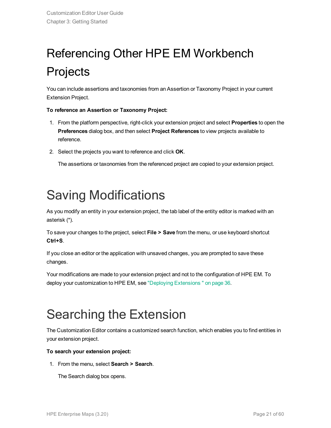# <span id="page-20-0"></span>Referencing Other HPE EM Workbench Projects

You can include assertions and taxonomies from an Assertion or Taxonomy Project in your current Extension Project.

#### **To reference an Assertion or Taxonomy Project:**

- 1. From the platform perspective, right-click your extension project and select **Properties** to open the **Preferences** dialog box, and then select **Project References** to view projects available to reference.
- 2. Select the projects you want to reference and click **OK**.

The assertions or taxonomies from the referenced project are copied to your extension project.

## <span id="page-20-1"></span>Saving Modifications

As you modify an entity in your extension project, the tab label of the entity editor is marked with an asterisk (\*).

To save your changes to the project, select **File > Save** from the menu, or use keyboard shortcut **Ctrl+S**.

If you close an editor or the application with unsaved changes, you are prompted to save these changes.

Your modifications are made to your extension project and not to the configuration of HPE EM. To deploy your customization to HPE EM, see "Deploying [Extensions "](#page-35-0) on page 36.

## <span id="page-20-2"></span>Searching the Extension

The Customization Editor contains a customized search function, which enables you to find entities in your extension project.

#### **To search your extension project:**

1. From the menu, select **Search > Search**.

The Search dialog box opens.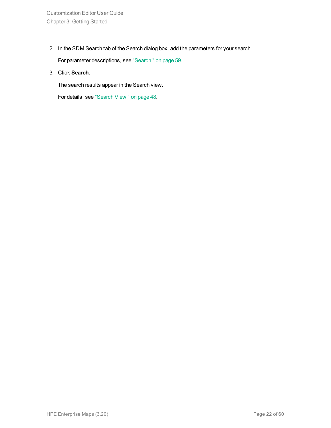2. In the SDM Search tab of the Search dialog box, add the parameters for your search.

For parameter descriptions, see ["Search "](#page-58-0) on page 59.

3. Click **Search**.

The search results appear in the Search view.

For details, see ["Search](#page-47-0) View " on page 48.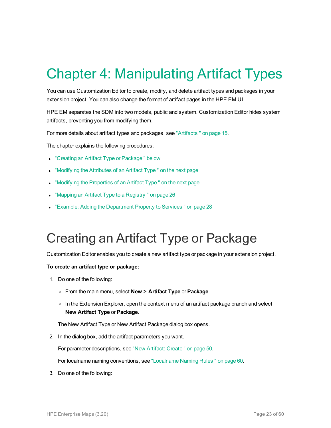# <span id="page-22-0"></span>Chapter 4: Manipulating Artifact Types

You can use Customization Editor to create, modify, and delete artifact types and packages in your extension project. You can also change the format of artifact pages in the HPE EM UI.

HPE EM separates the SDM into two models, public and system. Customization Editor hides system artifacts, preventing you from modifying them.

For more details about artifact types and packages, see ["Artifacts "](#page-14-1) on page 15.

The chapter explains the following procedures:

- "Creating an Artifact Type or Package" below
- ["Modifying](#page-23-0) the Attributes of an Artifact Type" on the next page
- ["Modifying](#page-23-1) the Properties of an Artifact Type" on the next page
- "Mapping an Artifact Type to a Registry" on page 26
- <span id="page-22-1"></span>• "Example: Adding the [Department](#page-27-0) Property to Services" on page 28

## Creating an Artifact Type or Package

Customization Editor enables you to create a new artifact type or package in your extension project.

#### **To create an artifact type or package:**

- 1. Do one of the following:
	- <sup>o</sup> From the main menu, select **New > Artifact Type** or **Package**.
	- $\circ$  In the Extension Explorer, open the context menu of an artifact package branch and select **New Artifact Type** or **Package**.

The New Artifact Type or New Artifact Package dialog box opens.

2. In the dialog box, add the artifact parameters you want.

For parameter descriptions, see "New Artifact: [Create "](#page-49-2) on page 50.

For localname naming conventions, see ["Localname](#page-59-0) Naming Rules " on page 60.

3. Do one of the following: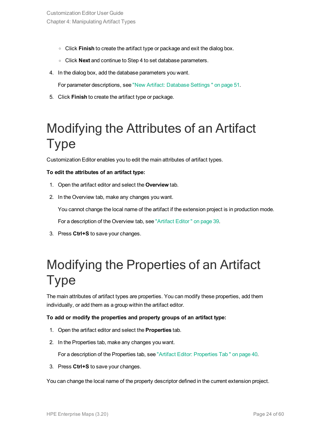- <sup>o</sup> Click **Finish** to create the artifact type or package and exit the dialog box.
- <sup>o</sup> Click **Next** and continue to Step 4 to set database parameters.
- 4. In the dialog box, add the database parameters you want.

For parameter descriptions, see "New Artifact: [Database](#page-50-0) Settings " on page 51.

<span id="page-23-0"></span>5. Click **Finish** to create the artifact type or package.

## Modifying the Attributes of an Artifact Type

Customization Editor enables you to edit the main attributes of artifact types.

#### **To edit the attributes of an artifact type:**

- 1. Open the artifact editor and select the **Overview** tab.
- 2. In the Overview tab, make any changes you want.

You cannot change the local name of the artifact if the extension project is in production mode.

For a description of the Overview tab, see ["Artifact](#page-38-1) Editor " on page 39.

<span id="page-23-1"></span>3. Press **Ctrl+S** to save your changes.

## Modifying the Properties of an Artifact Type

The main attributes of artifact types are properties. You can modify these properties, add them individually, or add them as a group within the artifact editor.

#### **To add or modify the properties and property groups of an artifact type:**

- 1. Open the artifact editor and select the **Properties** tab.
- 2. In the Properties tab, make any changes you want.

For a description of the Properties tab, see "Artifact Editor: [Properties](#page-39-1) Tab " on page 40.

3. Press **Ctrl+S** to save your changes.

You can change the local name of the property descriptor defined in the current extension project.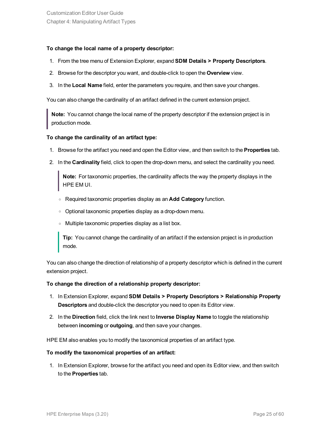#### **To change the local name of a property descriptor:**

- 1. From the tree menu of Extension Explorer, expand **SDM Details > Property Descriptors**.
- 2. Browse for the descriptor you want, and double-click to open the **Overview** view.
- 3. In the **Local Name** field, enter the parameters you require, and then save your changes.

You can also change the cardinality of an artifact defined in the current extension project.

**Note:** You cannot change the local name of the property descriptor if the extension project is in production mode.

#### **To change the cardinality of an artifact type:**

- 1. Browse for the artifact you need and open the Editor view, and then switch to the **Properties** tab.
- 2. In the **Cardinality** field, click to open the drop-down menu, and select the cardinality you need.

**Note:** For taxonomic properties, the cardinality affects the way the property displays in the HPE EM UI.

- <sup>o</sup> Required taxonomic properties display as an **Add Category** function.
- o Optional taxonomic properties display as a drop-down menu.
- <sup>o</sup> Multiple taxonomic properties display as a list box.

**Tip:** You cannot change the cardinality of an artifact if the extension project is in production mode.

You can also change the direction of relationship of a property descriptor which is defined in the current extension project.

#### **To change the direction of a relationship property descriptor:**

- 1. In Extension Explorer, expand **SDM Details > Property Descriptors > Relationship Property Descriptors** and double-click the descriptor you need to open its Editor view.
- 2. In the **Direction** field, click the link next to **Inverse Display Name** to toggle the relationship between **incoming** or **outgoing**, and then save your changes.

HPE EM also enables you to modify the taxonomical properties of an artifact type.

#### **To modify the taxonomical properties of an artifact:**

1. In Extension Explorer, browse for the artifact you need and open its Editor view, and then switch to the **Properties** tab.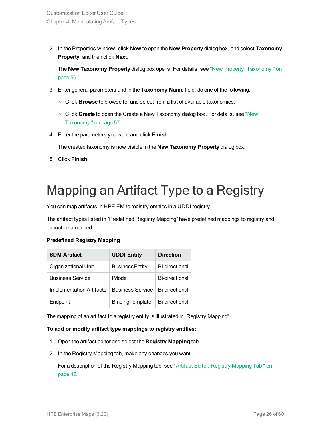2. In the Properties window, click **New** to open the **New Property** dialog box, and select **Taxonomy Property**, and then click **Next**.

The **New Taxonomy Property** dialog box opens. For details, see "New Property: [Taxonomy "](#page-55-0) on [page](#page-55-0) 56.

- 3. Enter general parameters and in the **Taxonomy Name** field, do one of the following:
	- <sup>o</sup> Click **Browse** to browse for and select from a list of available taxonomies.
	- <sup>o</sup> Click **Create** to open the Create a New Taxonomy dialog box. For details, see ["New](#page-56-2) [Taxonomy "](#page-56-2) on page 57.
- 4. Enter the parameters you want and click **Finish**.

The created taxonomy is now visible in the **New Taxonomy Property** dialog box.

<span id="page-25-0"></span>5. Click **Finish**.

## Mapping an Artifact Type to a Registry

You can map artifacts in HPE EM to registry entities in a UDDI registry.

The artifact types listed in "Predefined Registry Mapping" have predefined mappings to registry and cannot be amended.

#### **Predefined Registry Mapping**

| <b>SDM Artifact</b>      | <b>UDDI Entity</b>      | <b>Direction</b>      |
|--------------------------|-------------------------|-----------------------|
| Organizational Unit      | <b>BusinessEntity</b>   | <b>Bi-directional</b> |
| <b>Business Service</b>  | tModel                  | <b>Bi-directional</b> |
| Implementation Artifacts | <b>Business Service</b> | <b>Bi-directional</b> |
| Endpoint                 | BindingTemplate         | <b>Bi-directional</b> |

The mapping of an artifact to a registry entity is illustrated in "Registry Mapping".

#### **To add or modify artifact type mappings to registry entities:**

- 1. Open the artifact editor and select the **Registry Mapping** tab.
- 2. In the Registry Mapping tab, make any changes you want.

For a description of the Registry Mapping tab, see "Artifact Editor: Registry [Mapping](#page-41-0) Tab " on [page](#page-41-0) 42.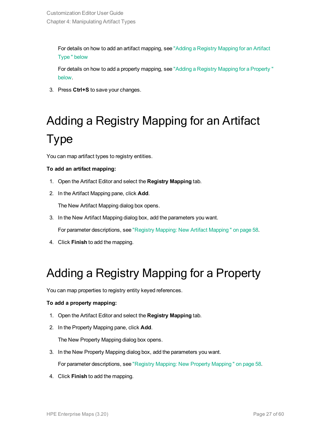For details on how to add an artifact mapping, see "Adding a Registry [Mapping](#page-26-0) for an Artifact [Type "](#page-26-0) below

For details on how to add a property mapping, see "Adding a Registry Mapping for a [Property "](#page-26-1) [below.](#page-26-1)

<span id="page-26-0"></span>3. Press **Ctrl+S** to save your changes.

# Adding a Registry Mapping for an Artifact Type

You can map artifact types to registry entities.

#### **To add an artifact mapping:**

- 1. Open the Artifact Editor and select the **Registry Mapping** tab.
- 2. In the Artifact Mapping pane, click **Add**.

The New Artifact Mapping dialog box opens.

3. In the New Artifact Mapping dialog box, add the parameters you want.

For parameter descriptions, see "Registry Mapping: New Artifact [Mapping "](#page-57-1) on page 58.

<span id="page-26-1"></span>4. Click **Finish** to add the mapping.

### Adding a Registry Mapping for a Property

You can map properties to registry entity keyed references.

#### **To add a property mapping:**

- 1. Open the Artifact Editor and select the **Registry Mapping** tab.
- 2. In the Property Mapping pane, click **Add**.

The New Property Mapping dialog box opens.

3. In the New Property Mapping dialog box, add the parameters you want.

For parameter descriptions, see "Registry Mapping: New Property [Mapping "](#page-57-2) on page 58.

4. Click **Finish** to add the mapping.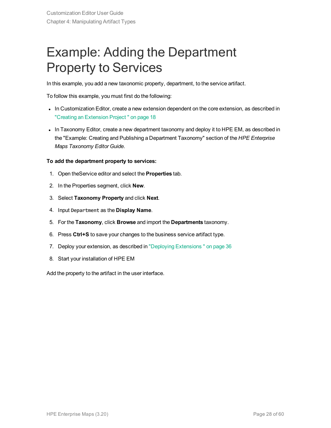## <span id="page-27-0"></span>Example: Adding the Department Property to Services

In this example, you add a new taxonomic property, department, to the service artifact.

To follow this example, you must first do the following:

- In Customization Editor, create a new extension dependent on the core extension, as described in "Creating an [Extension](#page-17-1) Project " on page 18
- In Taxonomy Editor, create a new department taxonomy and deploy it to HPE EM, as described in the "Example: Creating and Publishing a Department Taxonomy" section of the *HPE Enterprise Maps Taxonomy Editor Guide*.

#### **To add the department property to services:**

- 1. Open theService editor and select the **Properties** tab.
- 2. In the Properties segment, click **New**.
- 3. Select **Taxonomy Property** and click **Next**.
- 4. Input **Department** as the **Display Name**.
- 5. For the **Taxonomy**, click **Browse** and import the **Departments** taxonomy.
- 6. Press **Ctrl+S** to save your changes to the business service artifact type.
- 7. Deploy your extension, as described in "Deploying [Extensions "](#page-35-0) on page 36
- 8. Start your installation of HPE EM

Add the property to the artifact in the user interface.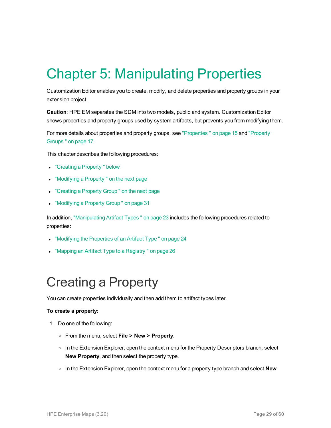# <span id="page-28-0"></span>Chapter 5: Manipulating Properties

Customization Editor enables you to create, modify, and delete properties and property groups in your extension project.

**Caution**: HPE EM separates the SDM into two models, public and system. Customization Editor shows properties and property groups used by system artifacts, but prevents you from modifying them.

For more details about properties and property groups, see ["Properties "](#page-14-2) on page 15 and ["Property](#page-16-0) [Groups "](#page-16-0) on page 17.

This chapter describes the following procedures:

- "Creating a Property" below
- ["Modifying](#page-29-0) a Property" on the next page
- ["Creating](#page-29-1) a Property Group" on the next page
- ["Modifying](#page-30-0) a Property Group" on page 31

In addition, ["Manipulating](#page-22-0) Artifact Types " on page 23 includes the following procedures related to properties:

- . ["Modifying](#page-23-1) the Properties of an Artifact Type " on page 24
- <span id="page-28-1"></span>• "Mapping an Artifact Type to a Registry" on page 26

## Creating a Property

You can create properties individually and then add them to artifact types later.

#### **To create a property:**

- 1. Do one of the following:
	- <sup>o</sup> From the menu, select **File > New > Property**.
	- o In the Extension Explorer, open the context menu for the Property Descriptors branch, select **New Property**, and then select the property type.
	- <sup>o</sup> In the Extension Explorer, open the context menu for a property type branch and select **New**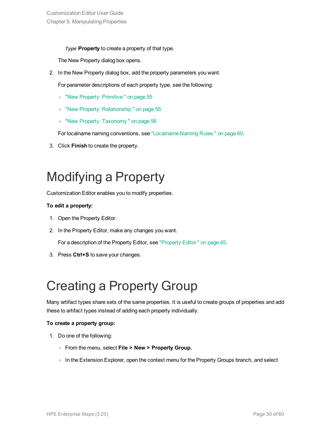*Type* **Property** to create a property of that type.

The New Property dialog box opens.

2. In the New Property dialog box, add the property parameters you want.

For parameter descriptions of each property type, see the following:

- <sup>o</sup> "New Property: [Primitive "](#page-54-1) on page 55
- <sup>o</sup> "New Property: [Relationship "](#page-54-2) on page 55
- <sup>o</sup> "New Property: [Taxonomy "](#page-55-0) on page 56

For localname naming conventions, see ["Localname](#page-59-0) Naming Rules " on page 60.

<span id="page-29-0"></span>3. Click **Finish** to create the property.

## Modifying a Property

Customization Editor enables you to modify properties.

#### **To edit a property:**

- 1. Open the Property Editor.
- 2. In the Property Editor, make any changes you want.

For a description of the Property Editor, see ["Property](#page-44-0) Editor " on page 45.

<span id="page-29-1"></span>3. Press **Ctrl+S** to save your changes.

## Creating a Property Group

Many artifact types share sets of the same properties. It is useful to create groups of properties and add these to artifact types instead of adding each property individually.

#### **To create a property group:**

- 1. Do one of the following:
	- <sup>o</sup> From the menu, select **File > New > Property Group.**
	- $\circ$  In the Extension Explorer, open the context menu for the Property Groups branch, and select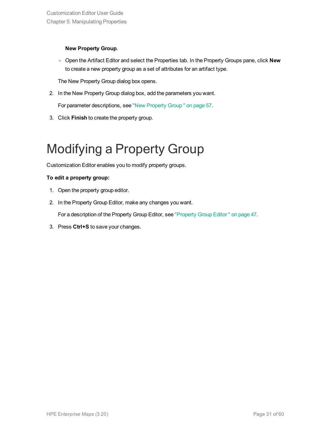#### **New Property Group**.

<sup>o</sup> Open the Artifact Editor and select the Properties tab. In the Property Groups pane, click **New** to create a new property group as a set of attributes for an artifact type.

The New Property Group dialog box opens.

2. In the New Property Group dialog box, add the parameters you want.

For parameter descriptions, see "New [Property](#page-56-0) Group " on page 57.

<span id="page-30-0"></span>3. Click **Finish** to create the property group.

## Modifying a Property Group

Customization Editor enables you to modify property groups.

#### **To edit a property group:**

- 1. Open the property group editor.
- 2. In the Property Group Editor, make any changes you want.

For a description of the Property Group Editor, see ["Property](#page-46-0) Group Editor " on page 47.

3. Press **Ctrl+S** to save your changes.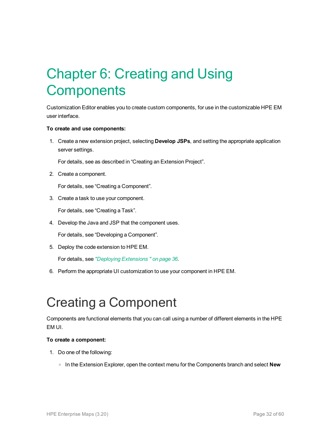# <span id="page-31-0"></span>Chapter 6: Creating and Using **Components**

Customization Editor enables you to create custom components, for use in the customizable HPE EM user interface.

#### **To create and use components:**

1. Create a new extension project, selecting **Develop JSPs**, and setting the appropriate application server settings.

For details, see as described in "Creating an Extension Project".

2. Create a component.

For details, see "Creating a Component".

3. Create a task to use your component.

For details, see "Creating a Task".

4. Develop the Java and JSP that the component uses.

For details, see "Developing a Component".

5. Deploy the code extension to HPE EM.

For details, see *"Deploying [Extensions "](#page-35-0) on page 36*.

<span id="page-31-1"></span>6. Perform the appropriate UI customization to use your component in HPE EM.

## Creating a Component

Components are functional elements that you can call using a number of different elements in the HPE EM UI.

#### **To create a component:**

- 1. Do one of the following:
	- <sup>o</sup> In the Extension Explorer, open the context menu for the Components branch and select **New**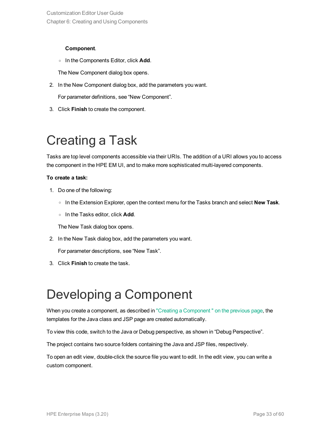#### **Component**.

<sup>o</sup> In the Components Editor, click **Add**.

The New Component dialog box opens.

2. In the New Component dialog box, add the parameters you want.

For parameter definitions, see "New Component".

<span id="page-32-0"></span>3. Click **Finish** to create the component.

## Creating a Task

Tasks are top level components accessible via their URIs. The addition of a URI allows you to access the component in the HPE EM UI, and to make more sophisticated multi-layered components.

#### **To create a task:**

- 1. Do one of the following:
	- <sup>o</sup> In the Extension Explorer, open the context menu for the Tasks branch and select **New Task**.
	- <sup>o</sup> In the Tasks editor, click **Add**.

The New Task dialog box opens.

2. In the New Task dialog box, add the parameters you want.

For parameter descriptions, see "New Task".

<span id="page-32-1"></span>3. Click **Finish** to create the task.

## Developing a Component

When you create a component, as described in "Creating a Component" on the previous page, the templates for the Java class and JSP page are created automatically.

To view this code, switch to the Java or Debug perspective, as shown in "Debug Perspective".

The project contains two source folders containing the Java and JSP files, respectively.

To open an edit view, double-click the source file you want to edit. In the edit view, you can write a custom component.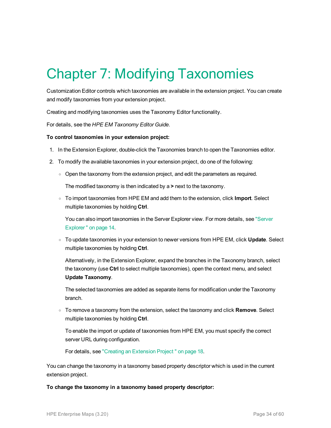# <span id="page-33-0"></span>Chapter 7: Modifying Taxonomies

Customization Editor controls which taxonomies are available in the extension project. You can create and modify taxonomies from your extension project.

Creating and modifying taxonomies uses the Taxonomy Editor functionality.

For details, see the *HPE EM Taxonomy Editor Guide*.

#### **To control taxonomies in your extension project:**

- 1. In the Extension Explorer, double-click the Taxonomies branch to open the Taxonomies editor.
- 2. To modify the available taxonomies in your extension project, do one of the following:
	- $\circ$  Open the taxonomy from the extension project, and edit the parameters as required.

The modified taxonomy is then indicated by a **>** next to the taxonomy.

<sup>o</sup> To import taxonomies from HPE EM and add them to the extension, click **Import**. Select multiple taxonomies by holding **Ctrl**.

You can also import taxonomies in the Server Explorer view. For more details, see ["Server](#page-13-0) [Explorer "](#page-13-0) on page 14.

<sup>o</sup> To update taxonomies in your extension to newer versions from HPE EM, click **Update**. Select multiple taxonomies by holding **Ctrl**.

Alternatively, in the Extension Explorer, expand the branches in the Taxonomy branch, select the taxonomy (use **Ctrl** to select multiple taxonomies), open the context menu, and select **Update Taxonomy**.

The selected taxonomies are added as separate items for modification under the Taxonomy branch.

<sup>o</sup> To remove a taxonomy from the extension, select the taxonomy and click **Remove**. Select multiple taxonomies by holding **Ctrl**.

To enable the import or update of taxonomies from HPE EM, you must specify the correct server URL during configuration.

For details, see "Creating an [Extension](#page-17-1) Project " on page 18.

You can change the taxonomy in a taxonomy based property descriptor which is used in the current extension project.

**To change the taxonomy in a taxonomy based property descriptor:**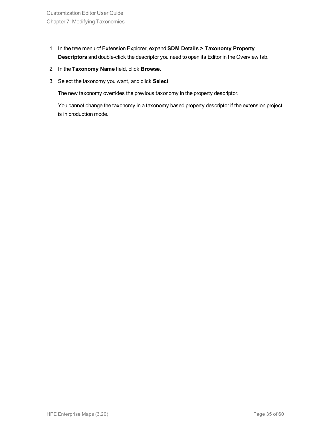- 1. In the tree menu of Extension Explorer, expand **SDM Details > Taxonomy Property Descriptors** and double-click the descriptor you need to open its Editor in the Overview tab.
- 2. In the **Taxonomy Name** field, click **Browse**.
- 3. Select the taxonomy you want, and click **Select**.

The new taxonomy overrides the previous taxonomy in the property descriptor.

You cannot change the taxonomy in a taxonomy based property descriptor if the extension project is in production mode.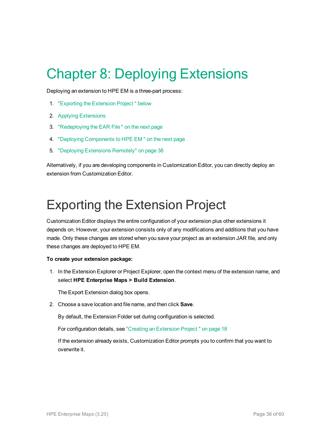## <span id="page-35-0"></span>Chapter 8: Deploying Extensions

Deploying an extension to HPE EM is a three-part process:

- 1. ["Exporting](#page-35-1) the Extension Project " below
- 2. Applying Extensions
- 3. ["Redeploying](#page-36-0) the EAR File " on the next page
- 4. "Deploying [Components](#page-36-1) to HPE EM " on the next page
- 5. "Deploying [Extensions](#page-37-0) Remotely" on page 38

Alternatively, if you are developing components in Customization Editor, you can directly deploy an extension from Customization Editor.

### <span id="page-35-1"></span>Exporting the Extension Project

Customization Editor displays the entire configuration of your extension plus other extensions it depends on. However, your extension consists only of any modifications and additions that you have made. Only these changes are stored when you save your project as an extension JAR file, and only these changes are deployed to HPE EM.

#### **To create your extension package:**

1. In the Extension Explorer or Project Explorer, open the context menu of the extension name, and select **HPE Enterprise Maps > Build Extension**.

The Export Extension dialog box opens.

2. Choose a save location and file name, and then click **Save**.

By default, the Extension Folder set during configuration is selected.

For configuration details, see "Creating an [Extension](#page-17-1) Project " on page 18

If the extension already exists, Customization Editor prompts you to confirm that you want to overwrite it.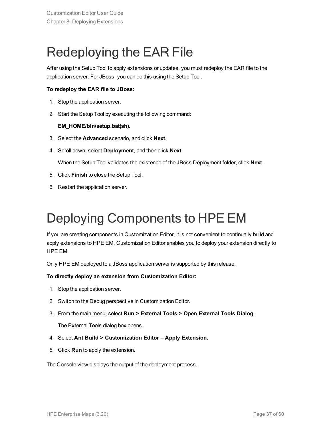## <span id="page-36-0"></span>Redeploying the EAR File

After using the Setup Tool to apply extensions or updates, you must redeploy the EAR file to the application server. For JBoss, you can do this using the Setup Tool.

#### **To redeploy the EAR file to JBoss:**

- 1. Stop the application server.
- 2. Start the Setup Tool by executing the following command:

#### **EM\_HOME/bin/setup.bat(sh)**.

- 3. Select the **Advanced** scenario, and click **Next**.
- 4. Scroll down, select **Deployment**, and then click **Next**.

When the Setup Tool validates the existence of the JBoss Deployment folder, click **Next**.

- 5. Click **Finish** to close the Setup Tool.
- <span id="page-36-1"></span>6. Restart the application server.

## Deploying Components to HPE EM

If you are creating components in Customization Editor, it is not convenient to continually build and apply extensions to HPE EM. Customization Editor enables you to deploy your extension directly to HPE EM.

Only HPE EM deployed to a JBoss application server is supported by this release.

#### **To directly deploy an extension from Customization Editor:**

- 1. Stop the application server.
- 2. Switch to the Debug perspective in Customization Editor.
- 3. From the main menu, select **Run > External Tools > Open External Tools Dialog**.

The External Tools dialog box opens.

- 4. Select **Ant Build > Customization Editor – Apply Extension**.
- 5. Click **Run** to apply the extension.

The Console view displays the output of the deployment process.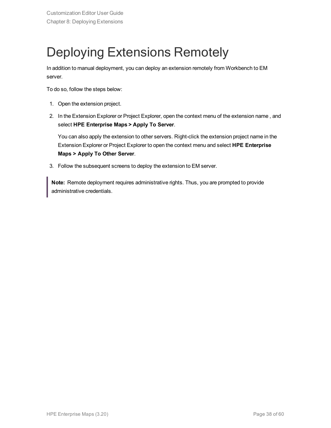## <span id="page-37-0"></span>Deploying Extensions Remotely

In addition to manual deployment, you can deploy an extension remotely from Workbench to EM server.

To do so, follow the steps below:

- 1. Open the extension project.
- 2. In the Extension Explorer or Project Explorer, open the context menu of the extension name , and select **HPE Enterprise Maps > Apply To Server**.

You can also apply the extension to other servers. Right-click the extension project name in the Extension Explorer or Project Explorer to open the context menu and select **HPE Enterprise Maps > Apply To Other Server**.

3. Follow the subsequent screens to deploy the extension to EM server.

**Note:** Remote deployment requires administrative rights. Thus, you are prompted to provide administrative credentials.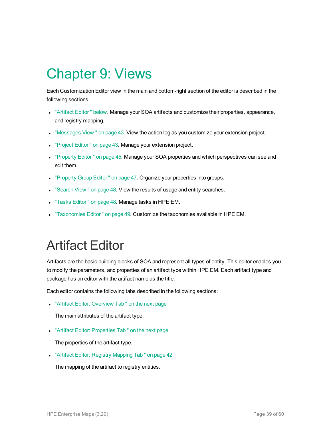## <span id="page-38-0"></span>Chapter 9: Views

Each Customization Editor view in the main and bottom-right section of the editor is described in the following sections:

- <sup>l</sup> ["Artifact](#page-38-1) Editor " below. Manage your SOA artifacts and customize their properties, appearance, and registry mapping.
- . ["Messages](#page-42-0) View " on page 43. View the action log as you customize your extension project.
- ["Project](#page-42-1) Editor" on page 43. Manage your extension project.
- ["Property](#page-44-0) Editor" on page 45. Manage your SOA properties and which perspectives can see and edit them.
- ["Property](#page-46-0) Group Editor" on page 47. Organize your properties into groups.
- ["Search](#page-47-0) View " on page 48. View the results of usage and entity searches.
- "Tasks Editor" on page 48. Manage tasks in HPE EM.
- <span id="page-38-1"></span>. ["Taxonomies](#page-48-0) Editor" on page 49. Customize the taxonomies available in HPE EM.

### Artifact Editor

Artifacts are the basic building blocks of SOA and represent all types of entity. This editor enables you to modify the parameters, and properties of an artifact type within HPE EM. Each artifact type and package has an editor with the artifact name as the title.

Each editor contains the following tabs described in the following sections:

• "Artifact Editor: [Overview](#page-39-0) Tab" on the next page

The main attributes of the artifact type.

• "Artifact Editor: [Properties](#page-39-1) Tab" on the next page

The properties of the artifact type.

• "Artifact Editor: Registry [Mapping](#page-41-0) Tab" on page 42

The mapping of the artifact to registry entities.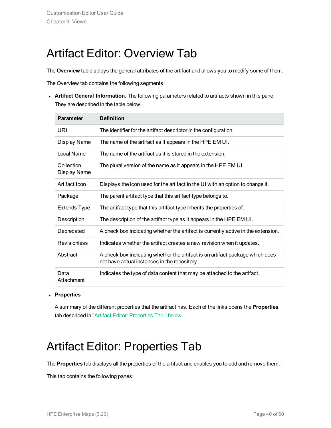### <span id="page-39-0"></span>Artifact Editor: Overview Tab

The **Overview** tab displays the general attributes of the artifact and allows you to modify some of them.

The Overview tab contains the following segments:

**Artifact General Information**. The following parameters related to artifacts shown in this pane. They are described in the table below:

| <b>Parameter</b>           | <b>Definition</b>                                                                                                             |
|----------------------------|-------------------------------------------------------------------------------------------------------------------------------|
| URI                        | The identifier for the artifact descriptor in the configuration.                                                              |
| Display Name               | The name of the artifact as it appears in the HPE EM UI.                                                                      |
| Local Name                 | The name of the artifact as it is stored in the extension.                                                                    |
| Collection<br>Display Name | The plural version of the name as it appears in the HPE EM UI.                                                                |
| Artifact Icon              | Displays the icon used for the artifact in the UI with an option to change it.                                                |
| Package                    | The parent artifact type that this artifact type belongs to.                                                                  |
| Extends Type               | The artifact type that this artifact type inherits the properties of.                                                         |
| Description                | The description of the artifact type as it appears in the HPE EM UI.                                                          |
| Deprecated                 | A check box indicating whether the artifact is currently active in the extension.                                             |
| <b>Revisionless</b>        | Indicates whether the artifact creates a new revision when it updates.                                                        |
| Abstract                   | A check box indicating whether the artifact is an artifact package which does<br>not have actual instances in the repository. |
| Data<br>Attachment         | Indicates the type of data content that may be attached to the artifact.                                                      |

<sup>l</sup> **Properties**

<span id="page-39-1"></span>A summary of the different properties that the artifact has. Each of the links opens the **Properties** tab described in "Artifact Editor: [Properties](#page-39-1) Tab " below.

### Artifact Editor: Properties Tab

The **Properties** tab displays all the properties of the artifact and enables you to add and remove them:

This tab contains the following panes: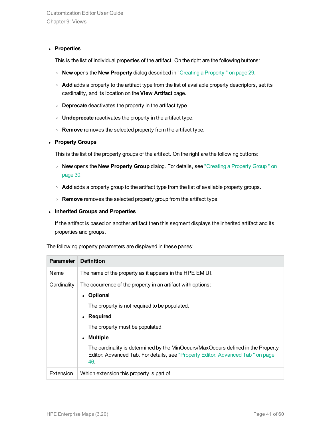#### <sup>l</sup> **Properties**

This is the list of individual properties of the artifact. On the right are the following buttons:

- <sup>o</sup> **New** opens the **New Property** dialog described in "Creating a [Property "](#page-28-1) on page 29.
- o **Add** adds a property to the artifact type from the list of available property descriptors, set its cardinality, and its location on the **View Artifact** page.
- <sup>o</sup> **Deprecate** deactivates the property in the artifact type.
- <sup>o</sup> **Undeprecate** reactivates the property in the artifact type.
- <sup>o</sup> **Remove** removes the selected property from the artifact type.

#### <sup>l</sup> **Property Groups**

This is the list of the property groups of the artifact. On the right are the following buttons:

- <sup>o</sup> **New** opens the **New Property Group** dialog. For details, see ["Creating](#page-29-1) a Property Group " on [page](#page-29-1) 30.
- $\circ$  **Add** adds a property group to the artifact type from the list of available property groups.
- <sup>o</sup> **Remove** removes the selected property group from the artifact type.

#### <sup>l</sup> **Inherited Groups and Properties**

If the artifact is based on another artifact then this segment displays the inherited artifact and its properties and groups.

The following property parameters are displayed in these panes:

| <b>Parameter</b> | <b>Definition</b>                                                                                                                                                                                                                                                                                                                                                                                               |
|------------------|-----------------------------------------------------------------------------------------------------------------------------------------------------------------------------------------------------------------------------------------------------------------------------------------------------------------------------------------------------------------------------------------------------------------|
| Name             | The name of the property as it appears in the HPE EM UI.                                                                                                                                                                                                                                                                                                                                                        |
| Cardinality      | The occurrence of the property in an artifact with options:<br>Optional<br>$\bullet$<br>The property is not required to be populated.<br>Required<br>$\bullet$<br>The property must be populated.<br><b>Multiple</b><br>$\bullet$<br>The cardinality is determined by the MinOccurs/MaxOccurs defined in the Property<br>Editor: Advanced Tab. For details, see "Property Editor: Advanced Tab " on page<br>46. |
| Extension        | Which extension this property is part of.                                                                                                                                                                                                                                                                                                                                                                       |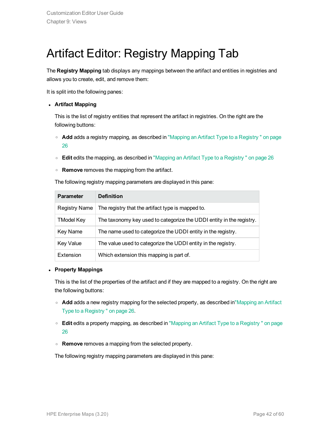### <span id="page-41-0"></span>Artifact Editor: Registry Mapping Tab

The **Registry Mapping** tab displays any mappings between the artifact and entities in registries and allows you to create, edit, and remove them:

It is split into the following panes:

#### <sup>l</sup> **Artifact Mapping**

This is the list of registry entities that represent the artifact in registries. On the right are the following buttons:

- <sup>o</sup> **Add** adds a registry mapping, as described in "Mapping an Artifact Type to a [Registry "](#page-25-0) on page [26](#page-25-0)
- <sup>o</sup> **Edit** edits the mapping, as described in "Mapping an Artifact Type to a [Registry "](#page-25-0) on page 26
- <sup>o</sup> **Remove** removes the mapping from the artifact.

The following registry mapping parameters are displayed in this pane:

| <b>Parameter</b>  | <b>Definition</b>                                                    |
|-------------------|----------------------------------------------------------------------|
| Registry Name     | The registry that the artifact type is mapped to.                    |
| <b>TModel Key</b> | The taxonomy key used to categorize the UDDI entity in the registry. |
| Key Name          | The name used to categorize the UDDI entity in the registry.         |
| <b>Key Value</b>  | The value used to categorize the UDDI entity in the registry.        |
| Extension         | Which extension this mapping is part of.                             |

#### <sup>l</sup> **Property Mappings**

This is the list of the properties of the artifact and if they are mapped to a registry. On the right are the following buttons:

- **Add** adds a new registry mapping for the selected property, as described i[n"Mapping](#page-25-0) an Artifact Type to a [Registry "](#page-25-0) on page 26.
- <sup>o</sup> **Edit** edits a property mapping, as described in "Mapping an Artifact Type to a [Registry "](#page-25-0) on page [26](#page-25-0)
- <sup>o</sup> **Remove** removes a mapping from the selected property.

The following registry mapping parameters are displayed in this pane: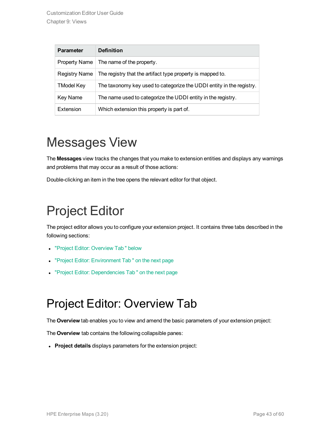| <b>Parameter</b>     | <b>Definition</b>                                                    |
|----------------------|----------------------------------------------------------------------|
| <b>Property Name</b> | The name of the property.                                            |
| Registry Name        | The registry that the artifact type property is mapped to.           |
| <b>TModel Key</b>    | The taxonomy key used to categorize the UDDI entity in the registry. |
| Key Name             | The name used to categorize the UDDI entity in the registry.         |
| Extension            | Which extension this property is part of.                            |

## <span id="page-42-0"></span>Messages View

The **Messages** view tracks the changes that you make to extension entities and displays any warnings and problems that may occur as a result of those actions:

<span id="page-42-1"></span>Double-clicking an item in the tree opens the relevant editor for that object.

## Project Editor

The project editor allows you to configure your extension project. It contains three tabs described in the following sections:

- "Project Editor: [Overview](#page-42-2) Tab " below
- "Project Editor: [Environment](#page-43-0) Tab" on the next page
- <span id="page-42-2"></span>• "Project Editor: [Dependencies](#page-43-1) Tab" on the next page

### Project Editor: Overview Tab

The **Overview** tab enables you to view and amend the basic parameters of your extension project:

The **Overview** tab contains the following collapsible panes:

**Project details** displays parameters for the extension project: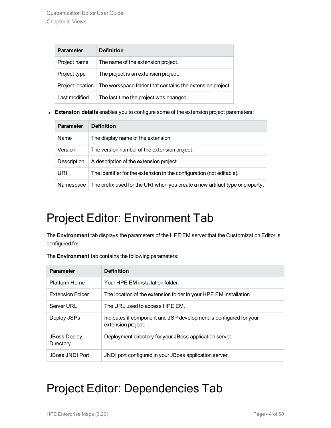| <b>Parameter</b>        | <b>Definition</b>                                         |  |
|-------------------------|-----------------------------------------------------------|--|
| Project name            | The name of the extension project.                        |  |
| Project type            | The project is an extension project.                      |  |
| <b>Project location</b> | The workspace folder that contains the extension project. |  |
| Last modified           | The last time the project was changed.                    |  |

**Extension details** enables you to configure some of the extension project parameters:

| <b>Parameter</b> | <b>Definition</b>                                                            |
|------------------|------------------------------------------------------------------------------|
| Name             | The display name of the extension.                                           |
| Version          | The version number of the extension project.                                 |
| Description      | A description of the extension project.                                      |
| URI              | The identifier for the extension in the configuration (not editable).        |
| Namespace        | The prefix used for the URI when you create a new artifact type or property. |

### <span id="page-43-0"></span>Project Editor: Environment Tab

The **Environment** tab displays the parameters of the HPE EM server that the Customization Editor is configured for:

| The <b>Environment</b> tab contains the following parameters: |
|---------------------------------------------------------------|
|---------------------------------------------------------------|

| <b>Parameter</b>                 | <b>Definition</b>                                                                       |
|----------------------------------|-----------------------------------------------------------------------------------------|
| Platform Home                    | Your HPE EM installation folder.                                                        |
| <b>Extension Folder</b>          | The location of the extension folder in your HPE EM installation.                       |
| Server URL                       | The URL used to access HPF FM.                                                          |
| Deploy JSPs                      | Indicates if component and JSP development is configured for your<br>extension project. |
| <b>JBoss Deploy</b><br>Directory | Deployment directory for your JBoss application server.                                 |
| <b>JBoss JNDI Port</b>           | JNDI port configured in your JBoss application server.                                  |

### <span id="page-43-1"></span>Project Editor: Dependencies Tab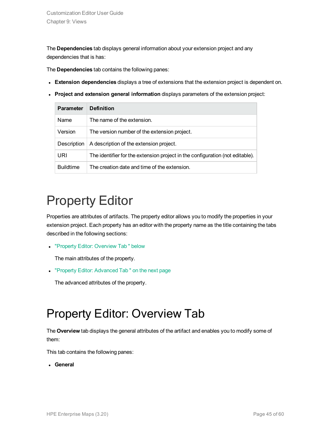The **Dependencies** tab displays general information about your extension project and any dependencies that is has:

The **Dependencies** tab contains the following panes:

- **Extension dependencies** displays a tree of extensions that the extension project is dependent on.
- <sup>l</sup> **Project and extension general information** displays parameters of the extension project:

| <b>Parameter</b> | <b>Definition</b>                                                             |
|------------------|-------------------------------------------------------------------------------|
| Name             | The name of the extension.                                                    |
| Version          | The version number of the extension project.                                  |
| Description      | A description of the extension project.                                       |
| URI              | The identifier for the extension project in the configuration (not editable). |
| <b>Buildtime</b> | The creation date and time of the extension.                                  |

## <span id="page-44-0"></span>Property Editor

Properties are attributes of artifacts. The property editor allows you to modify the properties in your extension project. Each property has an editor with the property name as the title containing the tabs described in the following sections:

• "Property Editor: [Overview](#page-44-1) Tab " below

The main attributes of the property.

• "Property Editor: [Advanced](#page-45-0) Tab" on the next page

<span id="page-44-1"></span>The advanced attributes of the property.

### Property Editor: Overview Tab

The **Overview** tab displays the general attributes of the artifact and enables you to modify some of them:

This tab contains the following panes:

**.** General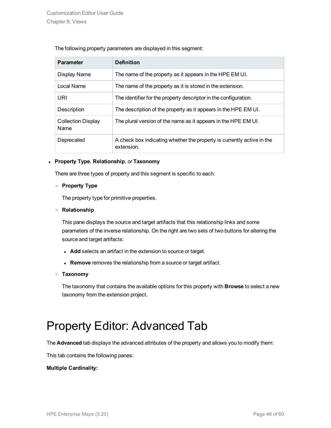|  |  | The following property parameters are displayed in this segment: |
|--|--|------------------------------------------------------------------|
|  |  |                                                                  |

| <b>Parameter</b>                  | <b>Definition</b>                                                                    |
|-----------------------------------|--------------------------------------------------------------------------------------|
| Display Name                      | The name of the property as it appears in the HPE EM UI.                             |
| Local Name                        | The name of the property as it is stored in the extension.                           |
| URI                               | The identifier for the property descriptor in the configuration.                     |
| Description                       | The description of the property as it appears in the HPE EM UI.                      |
| <b>Collection Display</b><br>Name | The plural version of the name as it appears in the HPE EM UI.                       |
| Deprecated                        | A check box indicating whether the property is currently active in the<br>extension. |

#### <sup>l</sup> **Property Type**, **Relationship**, or **Taxonomy**

There are three types of property and this segment is specific to each:

#### <sup>o</sup> **Property Type**

The property type for primitive properties.

#### <sup>o</sup> **Relationship**

This pane displays the source and target artifacts that this relationship links and some parameters of the inverse relationship. On the right are two sets of two buttons for altering the source and target artifacts:

- **Add** selects an artifact in the extension to source or target.
- **Remove** removes the relationship from a source or target artifact.

#### <sup>o</sup> **Taxonomy**

The taxonomy that contains the available options for this property with **Browse** to select a new taxonomy from the extension project.

### <span id="page-45-0"></span>Property Editor: Advanced Tab

The **Advanced** tab displays the advanced attributes of the property and allows you to modify them:

This tab contains the following panes:

#### **Multiple Cardinality:**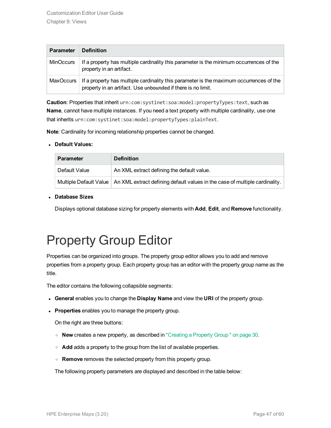| <b>Parameter</b> | <b>Definition</b>                                                                                                                                       |
|------------------|---------------------------------------------------------------------------------------------------------------------------------------------------------|
| MinOccurs        | If a property has multiple cardinality this parameter is the minimum occurrences of the<br>property in an artifact.                                     |
| MaxOccurs        | If a property has multiple cardinality this parameter is the maximum occurrences of the<br>property in an artifact. Use unbounded if there is no limit. |

**Caution**: Properties that inherit urn:com:systinet:soa:model:propertyTypes:text, such as **Name**, cannot have multiple instances. If you need a text property with multiple cardinality, use one that inherits urn:com:systinet:soa:model:propertyTypes:plainText.

**Note**: Cardinality for incoming relationship properties cannot be changed.

#### <sup>l</sup> **Default Values:**

| <b>Parameter</b> | <b>Definition</b>                                                                                    |
|------------------|------------------------------------------------------------------------------------------------------|
| Default Value    | An XML extract defining the default value.                                                           |
|                  | Multiple Default Value   An XML extract defining default values in the case of multiple cardinality. |

#### <sup>l</sup> **Database Sizes**

<span id="page-46-0"></span>Displays optional database sizing for property elements with **Add**, **Edit**, and **Remove** functionality.

## Property Group Editor

Properties can be organized into groups. The property group editor allows you to add and remove properties from a property group. Each property group has an editor with the property group name as the title.

The editor contains the following collapsible segments:

- <sup>l</sup> **General** enables you to change the **Display Name** and view the **URI** of the property group.
- **Properties** enables you to manage the property group.

On the right are three buttons:

- <sup>o</sup> **New** creates a new property, as described in ["Creating](#page-29-1) a Property Group " on page 30.
- **Add** adds a property to the group from the list of available properties.
- <sup>o</sup> **Remove** removes the selected property from this property group.

The following property parameters are displayed and described in the table below: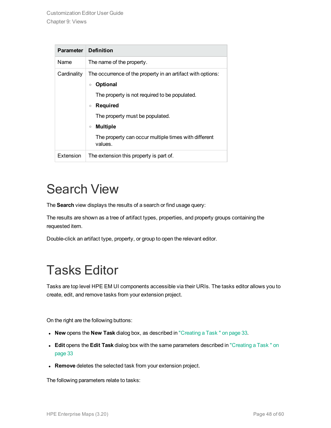| <b>Parameter</b> | <b>Definition</b>                                                                                                                                                                                                                                                                                     |
|------------------|-------------------------------------------------------------------------------------------------------------------------------------------------------------------------------------------------------------------------------------------------------------------------------------------------------|
| Name             | The name of the property.                                                                                                                                                                                                                                                                             |
| Cardinality      | The occurrence of the property in an artifact with options:<br><b>Optional</b><br>$\circ$<br>The property is not required to be populated.<br>Required<br>$\circ$<br>The property must be populated.<br><b>Multiple</b><br>$\circ$<br>The property can occur multiple times with different<br>values. |
| Extension        | The extension this property is part of.                                                                                                                                                                                                                                                               |

## <span id="page-47-0"></span>Search View

The **Search** view displays the results of a search or find usage query:

The results are shown as a tree of artifact types, properties, and property groups containing the requested item.

<span id="page-47-1"></span>Double-click an artifact type, property, or group to open the relevant editor.

## Tasks Editor

Tasks are top level HPE EM UI components accessible via their URIs. The tasks editor allows you to create, edit, and remove tasks from your extension project.

On the right are the following buttons:

- **New** opens the **New Task** dialog box, as described in ["Creating](#page-32-0) a Task " on page 33.
- <sup>l</sup> **Edit** opens the **Edit Task** dialog box with the same parameters described in ["Creating](#page-32-0) a Task " on [page](#page-32-0) 33
- **Remove** deletes the selected task from your extension project.

The following parameters relate to tasks: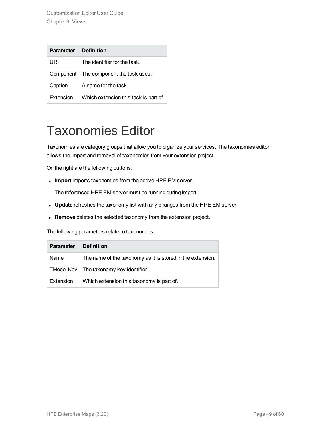Customization Editor User Guide Chapter 9: Views

| <b>Parameter</b> | <b>Definition</b>                     |
|------------------|---------------------------------------|
| URI              | The identifier for the task.          |
| Component        | The component the task uses.          |
| Caption          | A name for the task.                  |
| Extension        | Which extension this task is part of. |

### <span id="page-48-0"></span>Taxonomies Editor

Taxonomies are category groups that allow you to organize your services. The taxonomies editor allows the import and removal of taxonomies from your extension project.

On the right are the following buttons:

**Import** imports taxonomies from the active HPE EM server.

The referenced HPE EM server must be running during import.

- **Update** refreshes the taxonomy list with any changes from the HPE EM server.
- **Remove** deletes the selected taxonomy from the extension project.

The following parameters relate to taxonomies:

| <b>Parameter</b> | <b>Definition</b>                                          |
|------------------|------------------------------------------------------------|
| Name             | The name of the taxonomy as it is stored in the extension. |
| TModel Kev       | The taxonomy key identifier.                               |
| Extension        | Which extension this taxonomy is part of.                  |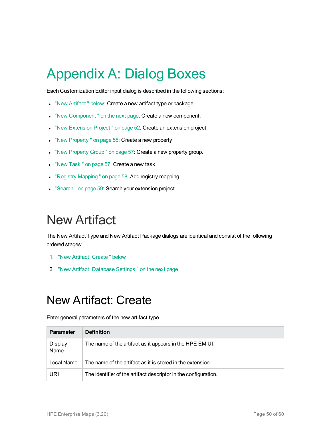# <span id="page-49-0"></span>Appendix A: Dialog Boxes

Each Customization Editor input dialog is described in the following sections:

- . "New Artifact" below: Create a new artifact type or package.
- . "New Component" on the next page: Create a new component.
- . "New [Extension](#page-51-0) Project" on page 52: Create an extension project.
- . "New [Property "](#page-54-0) on page 55: Create a new property.
- . "New [Property](#page-56-0) Group " on page 57: Create a new property group.
- "New Task" on page 57: Create a new task.
- "Registry [Mapping "](#page-57-0) on page 58: Add registry mapping.
- <span id="page-49-1"></span>• ["Search "](#page-58-0) on page 59: Search your extension project.

## New Artifact

The New Artifact Type and New Artifact Package dialogs are identical and consist of the following ordered stages:

- 1. "New Artifact: [Create "](#page-49-2) below
- <span id="page-49-2"></span>2. "New Artifact: [Database](#page-50-0) Settings " on the next page

### New Artifact: Create

Enter general parameters of the new artifact type.

| <b>Parameter</b>       | <b>Definition</b>                                               |
|------------------------|-----------------------------------------------------------------|
| <b>Display</b><br>Name | The name of the artifact as it appears in the HPE EM UI.        |
| Local Name             | The name of the artifact as it is stored in the extension.      |
| URI                    | The identifier of the artifact descriptor in the configuration. |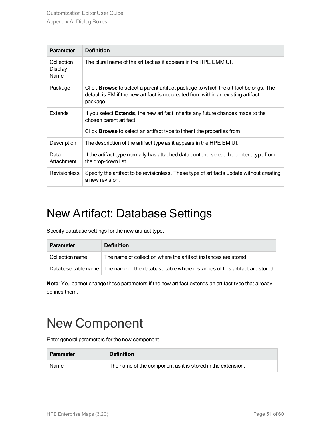| <b>Parameter</b>              | <b>Definition</b>                                                                                                                                                                           |
|-------------------------------|---------------------------------------------------------------------------------------------------------------------------------------------------------------------------------------------|
| Collection<br>Display<br>Name | The plural name of the artifact as it appears in the HPE EMM UI.                                                                                                                            |
| Package                       | Click <b>Browse</b> to select a parent artifact package to which the artifact belongs. The<br>default is EM if the new artifact is not created from within an existing artifact<br>package. |
| Extends                       | If you select <b>Extends</b> , the new artifact inherits any future changes made to the<br>chosen parent artifact.                                                                          |
|                               | Click <b>Browse</b> to select an artifact type to inherit the properties from                                                                                                               |
| Description                   | The description of the artifact type as it appears in the HPE EM UI.                                                                                                                        |
| Data<br>Attachment            | If the artifact type normally has attached data content, select the content type from<br>the drop-down list.                                                                                |
| <b>Revisionless</b>           | Specify the artifact to be revisionless. These type of artifacts update without creating<br>a new revision.                                                                                 |

### <span id="page-50-0"></span>New Artifact: Database Settings

Specify database settings for the new artifact type.

| <b>Parameter</b>      | <b>Definition</b>                                                          |
|-----------------------|----------------------------------------------------------------------------|
| Collection name       | The name of collection where the artifact instances are stored             |
| Database table name l | The name of the database table where instances of this artifact are stored |

**Note**: You cannot change these parameters if the new artifact extends an artifact type that already defines them.

## <span id="page-50-1"></span>New Component

Enter general parameters for the new component.

| <b>Parameter</b> | <b>Definition</b>                                           |
|------------------|-------------------------------------------------------------|
| Name             | The name of the component as it is stored in the extension. |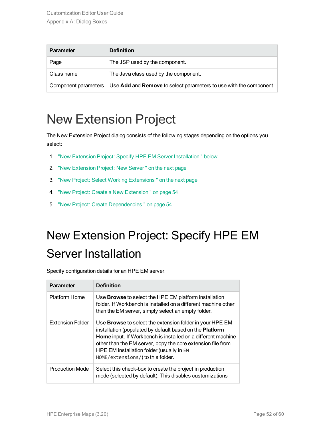| <b>Parameter</b>     | <b>Definition</b>                                                  |
|----------------------|--------------------------------------------------------------------|
| Page                 | The JSP used by the component.                                     |
| Class name           | The Java class used by the component.                              |
| Component parameters | Use Add and Remove to select parameters to use with the component. |

## <span id="page-51-0"></span>New Extension Project

The New Extension Project dialog consists of the following stages depending on the options you select:

- 1. "New Extension Project: Specify HPE EM Server [Installation "](#page-51-1) below
- 2. "New [Extension](#page-52-0) Project: New Server " on the next page
- 3. "New Project: Select Working [Extensions "](#page-52-1) on the next page
- 4. "New Project: Create a New [Extension "](#page-53-0) on page 54
- <span id="page-51-1"></span>5. "New Project: Create [Dependencies "](#page-53-1) on page 54

## New Extension Project: Specify HPE EM Server Installation

Specify configuration details for an HPE EM server.

| <b>Parameter</b>       | <b>Definition</b>                                                                                                                                                                                                                                                                                                                            |
|------------------------|----------------------------------------------------------------------------------------------------------------------------------------------------------------------------------------------------------------------------------------------------------------------------------------------------------------------------------------------|
| <b>Platform Home</b>   | Use Browse to select the HPE EM platform installation<br>folder. If Workbench is installed on a different machine other<br>than the EM server, simply select an empty folder.                                                                                                                                                                |
| Extension Folder       | Use <b>Browse</b> to select the extension folder in your HPE EM<br>installation (populated by default based on the Platform<br>Home input. If Workbench is installed on a different machine<br>other than the EM server, copy the core extension file from<br>HPE EM installation folder (usually in EM<br>HOME/extensions/) to this folder. |
| <b>Production Mode</b> | Select this check-box to create the project in production<br>mode (selected by default). This disables customizations                                                                                                                                                                                                                        |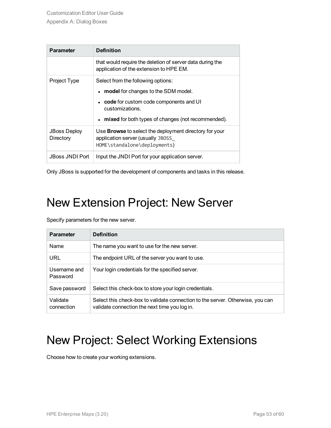| <b>Parameter</b>                 | <b>Definition</b>                                                                                                                  |
|----------------------------------|------------------------------------------------------------------------------------------------------------------------------------|
|                                  | that would require the deletion of server data during the<br>application of the extension to HPE EM.                               |
| Project Type                     | Select from the following options:                                                                                                 |
|                                  | • model for changes to the SDM model.                                                                                              |
|                                  | code for custom code components and UI<br>customizations.                                                                          |
|                                  | • mixed for both types of changes (not recommended).                                                                               |
| <b>JBoss Deploy</b><br>Directory | Use <b>Browse</b> to select the deployment directory for your<br>application server (usually JBOSS<br>HOME\standalone\deployments) |
| JBoss JNDI Port                  | Input the JNDI Port for your application server.                                                                                   |

<span id="page-52-0"></span>Only JBoss is supported for the development of components and tasks in this release.

### New Extension Project: New Server

Specify parameters for the new server.

| <b>Parameter</b>         | <b>Definition</b>                                                                                                               |
|--------------------------|---------------------------------------------------------------------------------------------------------------------------------|
| Name                     | The name you want to use for the new server.                                                                                    |
| URL                      | The endpoint URL of the server you want to use.                                                                                 |
| Username and<br>Password | Your login credentials for the specified server.                                                                                |
| Save password            | Select this check-box to store your login credentials.                                                                          |
| Validate<br>connection   | Select this check-box to validate connection to the server. Otherwise, you can<br>validate connection the next time you log in. |

### <span id="page-52-1"></span>New Project: Select Working Extensions

Choose how to create your working extensions.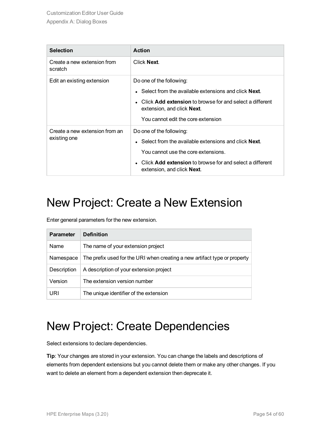| <b>Selection</b>                               | <b>Action</b>                                                                                                                                                                                                                                           |
|------------------------------------------------|---------------------------------------------------------------------------------------------------------------------------------------------------------------------------------------------------------------------------------------------------------|
| Create a new extension from<br>scratch         | Click Next.                                                                                                                                                                                                                                             |
| Edit an existing extension                     | Do one of the following:<br>$\bullet$ Select from the available extensions and click <b>Next</b> .<br>Click Add extension to browse for and select a different<br>$\bullet$<br>extension, and click <b>Next</b> .<br>You cannot edit the core extension |
| Create a new extension from an<br>existing one | Do one of the following:<br>$\bullet$ Select from the available extensions and click <b>Next</b> .<br>You cannot use the core extensions.<br>• Click Add extension to browse for and select a different<br>extension, and click Next.                   |

### <span id="page-53-0"></span>New Project: Create a New Extension

Enter general parameters for the new extension.

| <b>Parameter</b> | <b>Definition</b>                                                         |
|------------------|---------------------------------------------------------------------------|
| Name             | The name of your extension project                                        |
| Namespace        | The prefix used for the URI when creating a new artifact type or property |
| Description      | A description of your extension project                                   |
| Version          | The extension version number                                              |
| URI              | The unique identifier of the extension                                    |

### <span id="page-53-1"></span>New Project: Create Dependencies

Select extensions to declare dependencies.

**Tip**: Your changes are stored in your extension. You can change the labels and descriptions of elements from dependent extensions but you cannot delete them or make any other changes. If you want to delete an element from a dependent extension then deprecate it.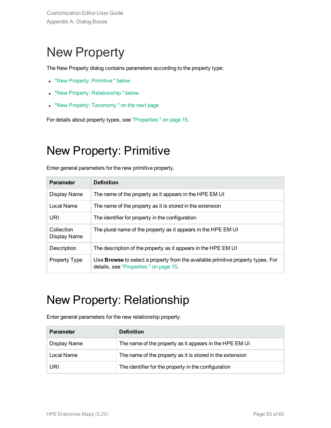## <span id="page-54-0"></span>New Property

The New Property dialog contains parameters according to the property type:

- "New Property: [Primitive "](#page-54-1) below
- "New Property: Relationship" below
- "New Property: Taxonomy" on the next page

<span id="page-54-1"></span>For details about property types, see ["Properties "](#page-14-2) on page 15.

### New Property: Primitive

Enter general parameters for the new primitive property.

| <b>Parameter</b>           | <b>Definition</b>                                                                                                                |
|----------------------------|----------------------------------------------------------------------------------------------------------------------------------|
| Display Name               | The name of the property as it appears in the HPE EM UI                                                                          |
| Local Name                 | The name of the property as it is stored in the extension                                                                        |
| URI                        | The identifier for property in the configuration                                                                                 |
| Collection<br>Display Name | The plural name of the property as it appears in the HPE EM UI                                                                   |
| Description                | The description of the property as it appears in the HPE EM UI                                                                   |
| Property Type              | Use <b>Browse</b> to select a property from the available primitive property types. For<br>details, see "Properties" on page 15. |

### <span id="page-54-2"></span>New Property: Relationship

Enter general parameters for the new relationship property.

| <b>Parameter</b> | <b>Definition</b>                                         |
|------------------|-----------------------------------------------------------|
| Display Name     | The name of the property as it appears in the HPE EM UI   |
| Local Name       | The name of the property as it is stored in the extension |
| URI              | The identifier for the property in the configuration      |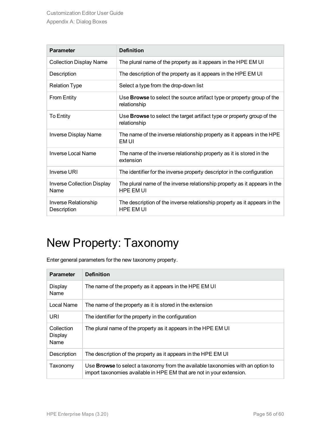| <b>Parameter</b>                           | <b>Definition</b>                                                                             |
|--------------------------------------------|-----------------------------------------------------------------------------------------------|
| <b>Collection Display Name</b>             | The plural name of the property as it appears in the HPE EM UI                                |
| Description                                | The description of the property as it appears in the HPE EM UI                                |
| <b>Relation Type</b>                       | Select a type from the drop-down list                                                         |
| From Entity                                | Use <b>Browse</b> to select the source artifact type or property group of the<br>relationship |
| To Entity                                  | Use Browse to select the target artifact type or property group of the<br>relationship        |
| <b>Inverse Display Name</b>                | The name of the inverse relationship property as it appears in the HPE<br>EM UI               |
| Inverse Local Name                         | The name of the inverse relationship property as it is stored in the<br>extension             |
| Inverse URI                                | The identifier for the inverse property descriptor in the configuration                       |
| <b>Inverse Collection Display</b><br>Name  | The plural name of the inverse relationship property as it appears in the<br>HPE FM UI        |
| <b>Inverse Relationship</b><br>Description | The description of the inverse relationship property as it appears in the<br><b>HPE FM UI</b> |

## <span id="page-55-0"></span>New Property: Taxonomy

Enter general parameters for the new taxonomy property.

| <b>Parameter</b>                     | <b>Definition</b>                                                                                                                                        |
|--------------------------------------|----------------------------------------------------------------------------------------------------------------------------------------------------------|
| <b>Display</b><br>Name               | The name of the property as it appears in the HPE EM UI                                                                                                  |
| Local Name                           | The name of the property as it is stored in the extension                                                                                                |
| URI                                  | The identifier for the property in the configuration                                                                                                     |
| Collection<br><b>Display</b><br>Name | The plural name of the property as it appears in the HPE EM UI                                                                                           |
| Description                          | The description of the property as it appears in the HPE EM UI                                                                                           |
| Taxonomy                             | Use Browse to select a taxonomy from the available taxonomies with an option to<br>import taxonomies available in HPE EM that are not in your extension. |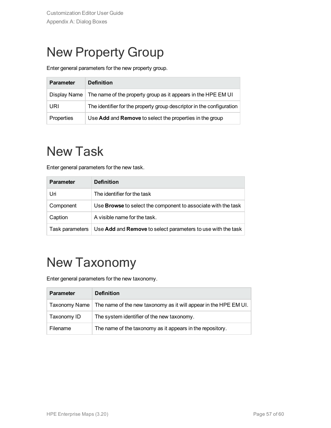## <span id="page-56-0"></span>New Property Group

Enter general parameters for the new property group.

| <b>Parameter</b> | <b>Definition</b>                                                     |
|------------------|-----------------------------------------------------------------------|
| Display Name     | The name of the property group as it appears in the HPE EM UI         |
| URI              | The identifier for the property group descriptor in the configuration |
| Properties       | Use Add and Remove to select the properties in the group              |

## <span id="page-56-1"></span>New Task

Enter general parameters for the new task.

| <b>Parameter</b> | <b>Definition</b>                                                    |
|------------------|----------------------------------------------------------------------|
| Uri              | The identifier for the task                                          |
| Component        | Use <b>Browse</b> to select the component to associate with the task |
| Caption          | A visible name for the task.                                         |
| Task parameters  | Use Add and Remove to select parameters to use with the task         |

## <span id="page-56-2"></span>New Taxonomy

Enter general parameters for the new taxonomy.

| <b>Parameter</b> | <b>Definition</b>                                                |
|------------------|------------------------------------------------------------------|
| Taxonomy Name    | The name of the new taxonomy as it will appear in the HPE EM UI. |
| Taxonomy ID      | The system identifier of the new taxonomy.                       |
| Filename         | The name of the taxonomy as it appears in the repository.        |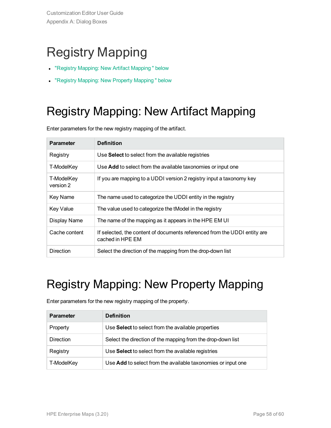## <span id="page-57-0"></span>Registry Mapping

- "Registry Mapping: New Artifact [Mapping "](#page-57-1) below
- <span id="page-57-1"></span>• "Registry Mapping: New Property [Mapping "](#page-57-2) below

## Registry Mapping: New Artifact Mapping

Enter parameters for the new registry mapping of the artifact.

| <b>Parameter</b>        | <b>Definition</b>                                                                             |
|-------------------------|-----------------------------------------------------------------------------------------------|
| Registry                | Use Select to select from the available registries                                            |
| T-ModelKey              | Use Add to select from the available taxonomies or input one                                  |
| T-ModelKey<br>version 2 | If you are mapping to a UDDI version 2 registry input a taxonomy key                          |
| Key Name                | The name used to categorize the UDDI entity in the registry                                   |
| <b>Key Value</b>        | The value used to categorize the tModel in the registry                                       |
| Display Name            | The name of the mapping as it appears in the HPE EM UI                                        |
| Cache content           | If selected, the content of documents referenced from the UDDI entity are<br>cached in HPE EM |
| <b>Direction</b>        | Select the direction of the mapping from the drop-down list                                   |

### <span id="page-57-2"></span>Registry Mapping: New Property Mapping

| <b>Parameter</b> | <b>Definition</b>                                            |
|------------------|--------------------------------------------------------------|
| Property         | Use Select to select from the available properties           |
| Direction        | Select the direction of the mapping from the drop-down list  |
| Registry         | Use Select to select from the available registries           |
| T-ModelKey       | Use Add to select from the available taxonomies or input one |

Enter parameters for the new registry mapping of the property.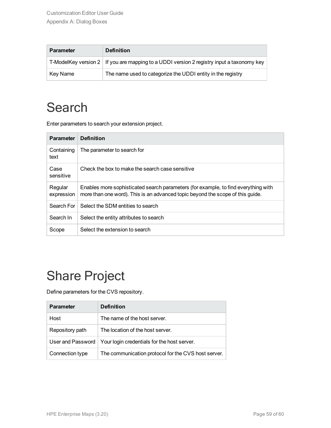| <b>Parameter</b> | <b>Definition</b>                                                                         |
|------------------|-------------------------------------------------------------------------------------------|
|                  | T-ModelKey version 2 If you are mapping to a UDDI version 2 registry input a taxonomy key |
| Key Name         | The name used to categorize the UDDI entity in the registry                               |

### <span id="page-58-0"></span>**Search**

Enter parameters to search your extension project.

| <b>Parameter</b>      | <b>Definition</b>                                                                                                                                                    |
|-----------------------|----------------------------------------------------------------------------------------------------------------------------------------------------------------------|
| Containing<br>text    | The parameter to search for                                                                                                                                          |
| Case<br>sensitive     | Check the box to make the search case sensitive                                                                                                                      |
| Regular<br>expression | Enables more sophisticated search parameters (for example, to find everything with<br>more than one word). This is an advanced topic beyond the scope of this guide. |
| Search For            | Select the SDM entities to search                                                                                                                                    |
| Search In             | Select the entity attributes to search                                                                                                                               |
| Scope                 | Select the extension to search                                                                                                                                       |

## <span id="page-58-1"></span>Share Project

Define parameters for the CVS repository.

| <b>Parameter</b>  | <b>Definition</b>                                   |
|-------------------|-----------------------------------------------------|
| Host              | The name of the host server.                        |
| Repository path   | The location of the host server.                    |
| User and Password | Your login credentials for the host server.         |
| Connection type   | The communication protocol for the CVS host server. |